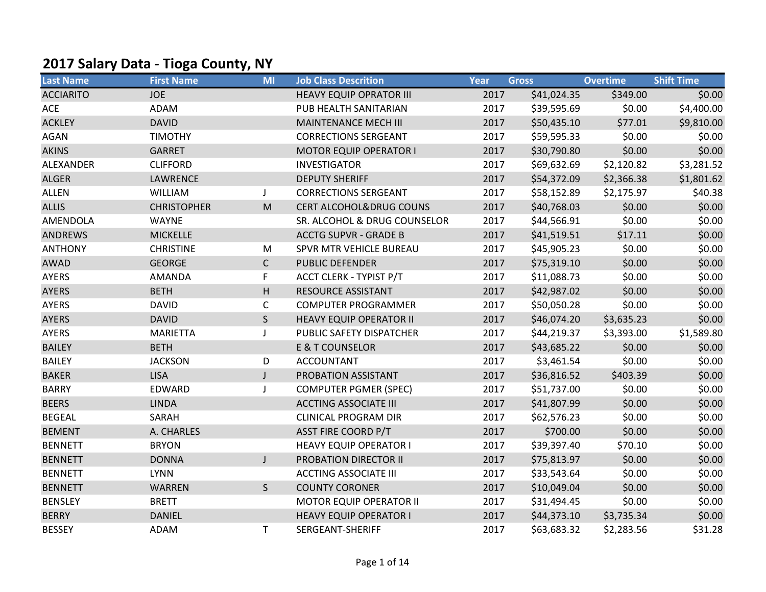## 2017 Salary Data - Tioga County, NY

| <b>Last Name</b> | <b>First Name</b>  | <b>MI</b>    | <b>Job Class Descrition</b>        | Year | <b>Gross</b> | <b>Overtime</b> | <b>Shift Time</b> |
|------------------|--------------------|--------------|------------------------------------|------|--------------|-----------------|-------------------|
| <b>ACCIARITO</b> | <b>JOE</b>         |              | <b>HEAVY EQUIP OPRATOR III</b>     | 2017 | \$41,024.35  | \$349.00        | \$0.00            |
| <b>ACE</b>       | ADAM               |              | PUB HEALTH SANITARIAN              | 2017 | \$39,595.69  | \$0.00          | \$4,400.00        |
| <b>ACKLEY</b>    | <b>DAVID</b>       |              | <b>MAINTENANCE MECH III</b>        | 2017 | \$50,435.10  | \$77.01         | \$9,810.00        |
| <b>AGAN</b>      | <b>TIMOTHY</b>     |              | <b>CORRECTIONS SERGEANT</b>        | 2017 | \$59,595.33  | \$0.00          | \$0.00            |
| <b>AKINS</b>     | <b>GARRET</b>      |              | <b>MOTOR EQUIP OPERATOR I</b>      | 2017 | \$30,790.80  | \$0.00          | \$0.00            |
| ALEXANDER        | <b>CLIFFORD</b>    |              | <b>INVESTIGATOR</b>                | 2017 | \$69,632.69  | \$2,120.82      | \$3,281.52        |
| <b>ALGER</b>     | <b>LAWRENCE</b>    |              | <b>DEPUTY SHERIFF</b>              | 2017 | \$54,372.09  | \$2,366.38      | \$1,801.62        |
| <b>ALLEN</b>     | WILLIAM            | J            | <b>CORRECTIONS SERGEANT</b>        | 2017 | \$58,152.89  | \$2,175.97      | \$40.38           |
| <b>ALLIS</b>     | <b>CHRISTOPHER</b> | M            | <b>CERT ALCOHOL&amp;DRUG COUNS</b> | 2017 | \$40,768.03  | \$0.00          | \$0.00            |
| AMENDOLA         | <b>WAYNE</b>       |              | SR. ALCOHOL & DRUG COUNSELOR       | 2017 | \$44,566.91  | \$0.00          | \$0.00            |
| <b>ANDREWS</b>   | <b>MICKELLE</b>    |              | <b>ACCTG SUPVR - GRADE B</b>       | 2017 | \$41,519.51  | \$17.11         | \$0.00            |
| <b>ANTHONY</b>   | <b>CHRISTINE</b>   | M            | SPVR MTR VEHICLE BUREAU            | 2017 | \$45,905.23  | \$0.00          | \$0.00            |
| <b>AWAD</b>      | <b>GEORGE</b>      | $\mathsf{C}$ | <b>PUBLIC DEFENDER</b>             | 2017 | \$75,319.10  | \$0.00          | \$0.00            |
| AYERS            | AMANDA             | F            | <b>ACCT CLERK - TYPIST P/T</b>     | 2017 | \$11,088.73  | \$0.00          | \$0.00            |
| <b>AYERS</b>     | <b>BETH</b>        | H            | RESOURCE ASSISTANT                 | 2017 | \$42,987.02  | \$0.00          | \$0.00            |
| <b>AYERS</b>     | <b>DAVID</b>       | $\mathsf{C}$ | <b>COMPUTER PROGRAMMER</b>         | 2017 | \$50,050.28  | \$0.00          | \$0.00            |
| <b>AYERS</b>     | <b>DAVID</b>       | $\mathsf{S}$ | <b>HEAVY EQUIP OPERATOR II</b>     | 2017 | \$46,074.20  | \$3,635.23      | \$0.00            |
| AYERS            | <b>MARIETTA</b>    | J            | PUBLIC SAFETY DISPATCHER           | 2017 | \$44,219.37  | \$3,393.00      | \$1,589.80        |
| <b>BAILEY</b>    | <b>BETH</b>        |              | <b>E &amp; T COUNSELOR</b>         | 2017 | \$43,685.22  | \$0.00          | \$0.00            |
| <b>BAILEY</b>    | <b>JACKSON</b>     | D            | <b>ACCOUNTANT</b>                  | 2017 | \$3,461.54   | \$0.00          | \$0.00            |
| <b>BAKER</b>     | <b>LISA</b>        | $\mathsf J$  | PROBATION ASSISTANT                | 2017 | \$36,816.52  | \$403.39        | \$0.00            |
| <b>BARRY</b>     | EDWARD             | J            | <b>COMPUTER PGMER (SPEC)</b>       | 2017 | \$51,737.00  | \$0.00          | \$0.00            |
| <b>BEERS</b>     | <b>LINDA</b>       |              | <b>ACCTING ASSOCIATE III</b>       | 2017 | \$41,807.99  | \$0.00          | \$0.00            |
| <b>BEGEAL</b>    | SARAH              |              | <b>CLINICAL PROGRAM DIR</b>        | 2017 | \$62,576.23  | \$0.00          | \$0.00            |
| <b>BEMENT</b>    | A. CHARLES         |              | <b>ASST FIRE COORD P/T</b>         | 2017 | \$700.00     | \$0.00          | \$0.00            |
| <b>BENNETT</b>   | <b>BRYON</b>       |              | <b>HEAVY EQUIP OPERATOR I</b>      | 2017 | \$39,397.40  | \$70.10         | \$0.00            |
| <b>BENNETT</b>   | <b>DONNA</b>       | $\mathsf{J}$ | PROBATION DIRECTOR II              | 2017 | \$75,813.97  | \$0.00          | \$0.00            |
| <b>BENNETT</b>   | <b>LYNN</b>        |              | <b>ACCTING ASSOCIATE III</b>       | 2017 | \$33,543.64  | \$0.00          | \$0.00            |
| <b>BENNETT</b>   | <b>WARREN</b>      | S            | <b>COUNTY CORONER</b>              | 2017 | \$10,049.04  | \$0.00          | \$0.00            |
| <b>BENSLEY</b>   | <b>BRETT</b>       |              | <b>MOTOR EQUIP OPERATOR II</b>     | 2017 | \$31,494.45  | \$0.00          | \$0.00            |
| <b>BERRY</b>     | <b>DANIEL</b>      |              | <b>HEAVY EQUIP OPERATOR I</b>      | 2017 | \$44,373.10  | \$3,735.34      | \$0.00            |
| <b>BESSEY</b>    | <b>ADAM</b>        | Τ            | SERGEANT-SHERIFF                   | 2017 | \$63,683.32  | \$2,283.56      | \$31.28           |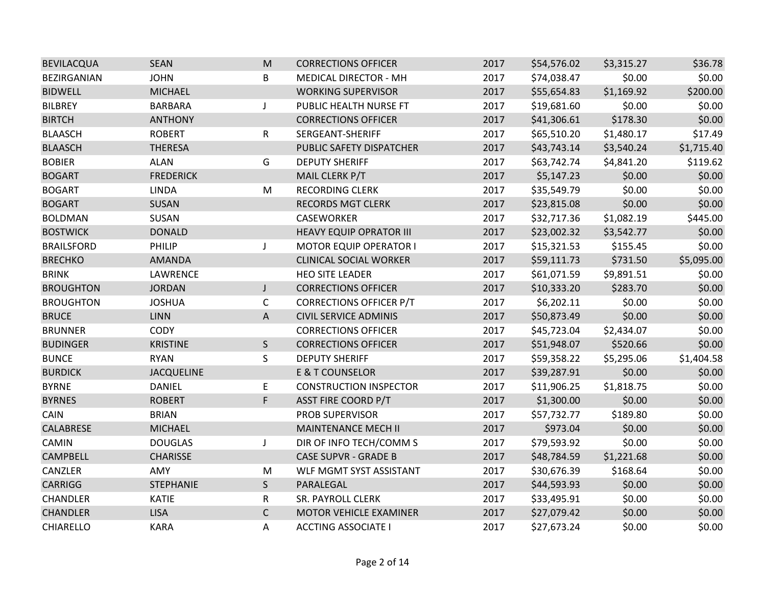| <b>BEVILACQUA</b> | <b>SEAN</b>       | M            | <b>CORRECTIONS OFFICER</b>     | 2017 | \$54,576.02 | \$3,315.27 | \$36.78    |
|-------------------|-------------------|--------------|--------------------------------|------|-------------|------------|------------|
| BEZIRGANIAN       | <b>JOHN</b>       | B            | <b>MEDICAL DIRECTOR - MH</b>   | 2017 | \$74,038.47 | \$0.00     | \$0.00     |
| <b>BIDWELL</b>    | <b>MICHAEL</b>    |              | <b>WORKING SUPERVISOR</b>      | 2017 | \$55,654.83 | \$1,169.92 | \$200.00   |
| <b>BILBREY</b>    | <b>BARBARA</b>    | J            | PUBLIC HEALTH NURSE FT         | 2017 | \$19,681.60 | \$0.00     | \$0.00     |
| <b>BIRTCH</b>     | <b>ANTHONY</b>    |              | <b>CORRECTIONS OFFICER</b>     | 2017 | \$41,306.61 | \$178.30   | \$0.00     |
| <b>BLAASCH</b>    | <b>ROBERT</b>     | R            | SERGEANT-SHERIFF               | 2017 | \$65,510.20 | \$1,480.17 | \$17.49    |
| <b>BLAASCH</b>    | <b>THERESA</b>    |              | PUBLIC SAFETY DISPATCHER       | 2017 | \$43,743.14 | \$3,540.24 | \$1,715.40 |
| <b>BOBIER</b>     | <b>ALAN</b>       | G            | <b>DEPUTY SHERIFF</b>          | 2017 | \$63,742.74 | \$4,841.20 | \$119.62   |
| <b>BOGART</b>     | <b>FREDERICK</b>  |              | MAIL CLERK P/T                 | 2017 | \$5,147.23  | \$0.00     | \$0.00     |
| <b>BOGART</b>     | <b>LINDA</b>      | M            | <b>RECORDING CLERK</b>         | 2017 | \$35,549.79 | \$0.00     | \$0.00     |
| <b>BOGART</b>     | <b>SUSAN</b>      |              | <b>RECORDS MGT CLERK</b>       | 2017 | \$23,815.08 | \$0.00     | \$0.00     |
| <b>BOLDMAN</b>    | SUSAN             |              | CASEWORKER                     | 2017 | \$32,717.36 | \$1,082.19 | \$445.00   |
| <b>BOSTWICK</b>   | <b>DONALD</b>     |              | <b>HEAVY EQUIP OPRATOR III</b> | 2017 | \$23,002.32 | \$3,542.77 | \$0.00     |
| <b>BRAILSFORD</b> | PHILIP            | J            | <b>MOTOR EQUIP OPERATOR I</b>  | 2017 | \$15,321.53 | \$155.45   | \$0.00     |
| <b>BRECHKO</b>    | AMANDA            |              | <b>CLINICAL SOCIAL WORKER</b>  | 2017 | \$59,111.73 | \$731.50   | \$5,095.00 |
| <b>BRINK</b>      | LAWRENCE          |              | <b>HEO SITE LEADER</b>         | 2017 | \$61,071.59 | \$9,891.51 | \$0.00     |
| <b>BROUGHTON</b>  | <b>JORDAN</b>     | J            | <b>CORRECTIONS OFFICER</b>     | 2017 | \$10,333.20 | \$283.70   | \$0.00     |
| <b>BROUGHTON</b>  | <b>JOSHUA</b>     | $\mathsf C$  | <b>CORRECTIONS OFFICER P/T</b> | 2017 | \$6,202.11  | \$0.00     | \$0.00     |
| <b>BRUCE</b>      | <b>LINN</b>       | A            | <b>CIVIL SERVICE ADMINIS</b>   | 2017 | \$50,873.49 | \$0.00     | \$0.00     |
| <b>BRUNNER</b>    | <b>CODY</b>       |              | <b>CORRECTIONS OFFICER</b>     | 2017 | \$45,723.04 | \$2,434.07 | \$0.00     |
| <b>BUDINGER</b>   | <b>KRISTINE</b>   | $\mathsf{S}$ | <b>CORRECTIONS OFFICER</b>     | 2017 | \$51,948.07 | \$520.66   | \$0.00     |
| <b>BUNCE</b>      | <b>RYAN</b>       | S            | <b>DEPUTY SHERIFF</b>          | 2017 | \$59,358.22 | \$5,295.06 | \$1,404.58 |
| <b>BURDICK</b>    | <b>JACQUELINE</b> |              | <b>E &amp; T COUNSELOR</b>     | 2017 | \$39,287.91 | \$0.00     | \$0.00     |
| <b>BYRNE</b>      | <b>DANIEL</b>     | E.           | <b>CONSTRUCTION INSPECTOR</b>  | 2017 | \$11,906.25 | \$1,818.75 | \$0.00     |
| <b>BYRNES</b>     | <b>ROBERT</b>     | F            | <b>ASST FIRE COORD P/T</b>     | 2017 | \$1,300.00  | \$0.00     | \$0.00     |
| CAIN              | <b>BRIAN</b>      |              | PROB SUPERVISOR                | 2017 | \$57,732.77 | \$189.80   | \$0.00     |
| CALABRESE         | <b>MICHAEL</b>    |              | MAINTENANCE MECH II            | 2017 | \$973.04    | \$0.00     | \$0.00     |
| CAMIN             | <b>DOUGLAS</b>    | J            | DIR OF INFO TECH/COMM S        | 2017 | \$79,593.92 | \$0.00     | \$0.00     |
| <b>CAMPBELL</b>   | <b>CHARISSE</b>   |              | <b>CASE SUPVR - GRADE B</b>    | 2017 | \$48,784.59 | \$1,221.68 | \$0.00     |
| CANZLER           | AMY               | M            | WLF MGMT SYST ASSISTANT        | 2017 | \$30,676.39 | \$168.64   | \$0.00     |
| <b>CARRIGG</b>    | <b>STEPHANIE</b>  | S            | PARALEGAL                      | 2017 | \$44,593.93 | \$0.00     | \$0.00     |
| CHANDLER          | <b>KATIE</b>      | R            | SR. PAYROLL CLERK              | 2017 | \$33,495.91 | \$0.00     | \$0.00     |
| <b>CHANDLER</b>   | <b>LISA</b>       | $\mathsf{C}$ | MOTOR VEHICLE EXAMINER         | 2017 | \$27,079.42 | \$0.00     | \$0.00     |
| <b>CHIARELLO</b>  | <b>KARA</b>       | Α            | <b>ACCTING ASSOCIATE I</b>     | 2017 | \$27,673.24 | \$0.00     | \$0.00     |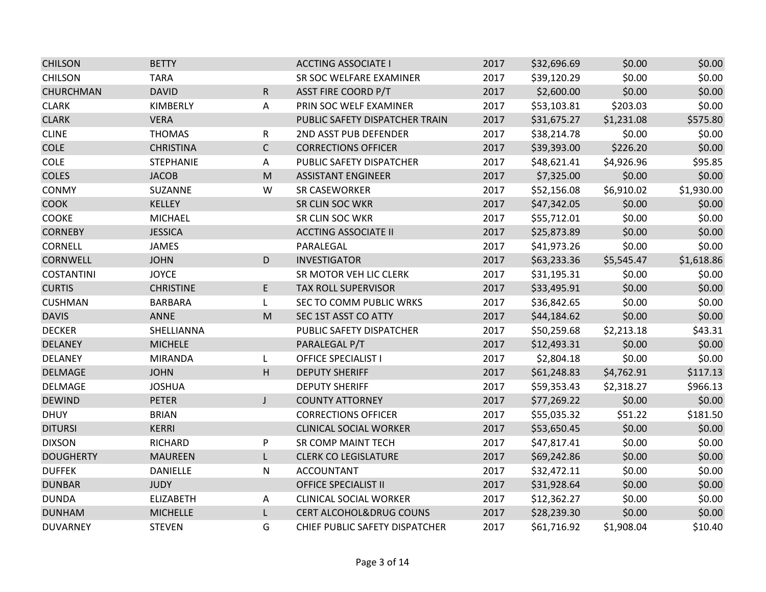| <b>CHILSON</b>    | <b>BETTY</b>     |                                                                                                            | <b>ACCTING ASSOCIATE I</b>         | 2017 | \$32,696.69 | \$0.00     | \$0.00     |
|-------------------|------------------|------------------------------------------------------------------------------------------------------------|------------------------------------|------|-------------|------------|------------|
| <b>CHILSON</b>    | <b>TARA</b>      |                                                                                                            | SR SOC WELFARE EXAMINER            | 2017 | \$39,120.29 | \$0.00     | \$0.00     |
| <b>CHURCHMAN</b>  | <b>DAVID</b>     | $\mathsf R$                                                                                                | <b>ASST FIRE COORD P/T</b>         | 2017 | \$2,600.00  | \$0.00     | \$0.00     |
| <b>CLARK</b>      | KIMBERLY         | Α                                                                                                          | PRIN SOC WELF EXAMINER             | 2017 | \$53,103.81 | \$203.03   | \$0.00     |
| <b>CLARK</b>      | <b>VERA</b>      |                                                                                                            | PUBLIC SAFETY DISPATCHER TRAIN     | 2017 | \$31,675.27 | \$1,231.08 | \$575.80   |
| <b>CLINE</b>      | <b>THOMAS</b>    | R                                                                                                          | 2ND ASST PUB DEFENDER              | 2017 | \$38,214.78 | \$0.00     | \$0.00     |
| <b>COLE</b>       | <b>CHRISTINA</b> | $\mathsf{C}$                                                                                               | <b>CORRECTIONS OFFICER</b>         | 2017 | \$39,393.00 | \$226.20   | \$0.00     |
| COLE              | <b>STEPHANIE</b> | Α                                                                                                          | PUBLIC SAFETY DISPATCHER           | 2017 | \$48,621.41 | \$4,926.96 | \$95.85    |
| <b>COLES</b>      | <b>JACOB</b>     | M                                                                                                          | <b>ASSISTANT ENGINEER</b>          | 2017 | \$7,325.00  | \$0.00     | \$0.00     |
| CONMY             | SUZANNE          | W                                                                                                          | <b>SR CASEWORKER</b>               | 2017 | \$52,156.08 | \$6,910.02 | \$1,930.00 |
| <b>COOK</b>       | <b>KELLEY</b>    |                                                                                                            | SR CLIN SOC WKR                    | 2017 | \$47,342.05 | \$0.00     | \$0.00     |
| COOKE             | <b>MICHAEL</b>   |                                                                                                            | SR CLIN SOC WKR                    | 2017 | \$55,712.01 | \$0.00     | \$0.00     |
| <b>CORNEBY</b>    | <b>JESSICA</b>   |                                                                                                            | <b>ACCTING ASSOCIATE II</b>        | 2017 | \$25,873.89 | \$0.00     | \$0.00     |
| CORNELL           | <b>JAMES</b>     |                                                                                                            | PARALEGAL                          | 2017 | \$41,973.26 | \$0.00     | \$0.00     |
| <b>CORNWELL</b>   | <b>JOHN</b>      | D                                                                                                          | <b>INVESTIGATOR</b>                | 2017 | \$63,233.36 | \$5,545.47 | \$1,618.86 |
| <b>COSTANTINI</b> | <b>JOYCE</b>     |                                                                                                            | SR MOTOR VEH LIC CLERK             | 2017 | \$31,195.31 | \$0.00     | \$0.00     |
| <b>CURTIS</b>     | <b>CHRISTINE</b> | E.                                                                                                         | TAX ROLL SUPERVISOR                | 2017 | \$33,495.91 | \$0.00     | \$0.00     |
| <b>CUSHMAN</b>    | <b>BARBARA</b>   | L                                                                                                          | SEC TO COMM PUBLIC WRKS            | 2017 | \$36,842.65 | \$0.00     | \$0.00     |
| <b>DAVIS</b>      | <b>ANNE</b>      | $\mathsf{M}% _{T}=\mathsf{M}_{T}\!\left( a,b\right) ,\ \mathsf{M}_{T}=\mathsf{M}_{T}\!\left( a,b\right) ,$ | SEC 1ST ASST CO ATTY               | 2017 | \$44,184.62 | \$0.00     | \$0.00     |
| <b>DECKER</b>     | SHELLIANNA       |                                                                                                            | PUBLIC SAFETY DISPATCHER           | 2017 | \$50,259.68 | \$2,213.18 | \$43.31    |
| <b>DELANEY</b>    | <b>MICHELE</b>   |                                                                                                            | PARALEGAL P/T                      | 2017 | \$12,493.31 | \$0.00     | \$0.00     |
| <b>DELANEY</b>    | <b>MIRANDA</b>   | L                                                                                                          | <b>OFFICE SPECIALIST I</b>         | 2017 | \$2,804.18  | \$0.00     | \$0.00     |
| <b>DELMAGE</b>    | <b>JOHN</b>      | H                                                                                                          | <b>DEPUTY SHERIFF</b>              | 2017 | \$61,248.83 | \$4,762.91 | \$117.13   |
| <b>DELMAGE</b>    | <b>JOSHUA</b>    |                                                                                                            | <b>DEPUTY SHERIFF</b>              | 2017 | \$59,353.43 | \$2,318.27 | \$966.13   |
| <b>DEWIND</b>     | <b>PETER</b>     | $\mathsf J$                                                                                                | <b>COUNTY ATTORNEY</b>             | 2017 | \$77,269.22 | \$0.00     | \$0.00     |
| <b>DHUY</b>       | <b>BRIAN</b>     |                                                                                                            | <b>CORRECTIONS OFFICER</b>         | 2017 | \$55,035.32 | \$51.22    | \$181.50   |
| <b>DITURSI</b>    | KERRI            |                                                                                                            | <b>CLINICAL SOCIAL WORKER</b>      | 2017 | \$53,650.45 | \$0.00     | \$0.00     |
| <b>DIXSON</b>     | RICHARD          | P                                                                                                          | SR COMP MAINT TECH                 | 2017 | \$47,817.41 | \$0.00     | \$0.00     |
| <b>DOUGHERTY</b>  | <b>MAUREEN</b>   | L                                                                                                          | <b>CLERK CO LEGISLATURE</b>        | 2017 | \$69,242.86 | \$0.00     | \$0.00     |
| <b>DUFFEK</b>     | <b>DANIELLE</b>  | ${\sf N}$                                                                                                  | <b>ACCOUNTANT</b>                  | 2017 | \$32,472.11 | \$0.00     | \$0.00     |
| <b>DUNBAR</b>     | <b>JUDY</b>      |                                                                                                            | <b>OFFICE SPECIALIST II</b>        | 2017 | \$31,928.64 | \$0.00     | \$0.00     |
| <b>DUNDA</b>      | <b>ELIZABETH</b> | A                                                                                                          | <b>CLINICAL SOCIAL WORKER</b>      | 2017 | \$12,362.27 | \$0.00     | \$0.00     |
| <b>DUNHAM</b>     | <b>MICHELLE</b>  | L                                                                                                          | <b>CERT ALCOHOL&amp;DRUG COUNS</b> | 2017 | \$28,239.30 | \$0.00     | \$0.00     |
| <b>DUVARNEY</b>   | <b>STEVEN</b>    | G                                                                                                          | CHIEF PUBLIC SAFETY DISPATCHER     | 2017 | \$61,716.92 | \$1,908.04 | \$10.40    |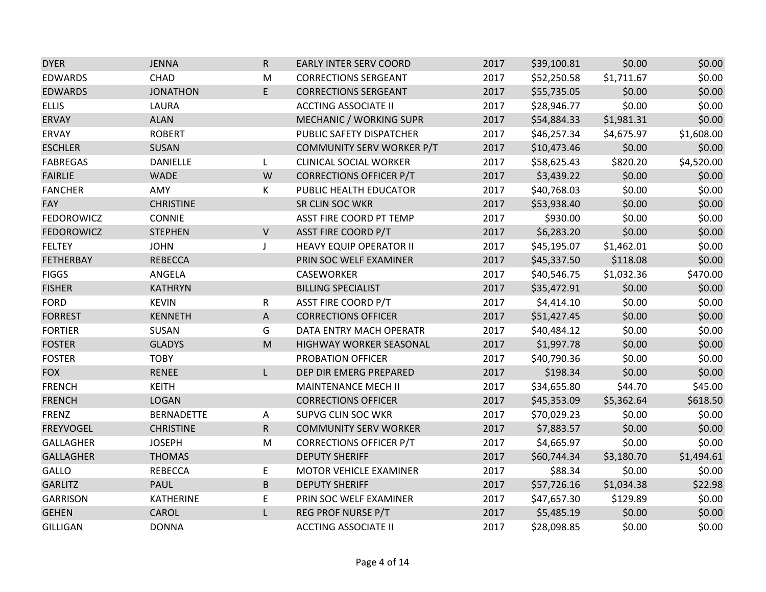| <b>DYER</b>       | <b>JENNA</b>      | $\mathsf{R}$              | <b>EARLY INTER SERV COORD</b>  | 2017 | \$39,100.81 | \$0.00     | \$0.00     |
|-------------------|-------------------|---------------------------|--------------------------------|------|-------------|------------|------------|
| <b>EDWARDS</b>    | CHAD              | M                         | <b>CORRECTIONS SERGEANT</b>    | 2017 | \$52,250.58 | \$1,711.67 | \$0.00     |
| <b>EDWARDS</b>    | <b>JONATHON</b>   | E                         | <b>CORRECTIONS SERGEANT</b>    | 2017 | \$55,735.05 | \$0.00     | \$0.00     |
| <b>ELLIS</b>      | LAURA             |                           | <b>ACCTING ASSOCIATE II</b>    | 2017 | \$28,946.77 | \$0.00     | \$0.00     |
| <b>ERVAY</b>      | <b>ALAN</b>       |                           | MECHANIC / WORKING SUPR        | 2017 | \$54,884.33 | \$1,981.31 | \$0.00     |
| ERVAY             | <b>ROBERT</b>     |                           | PUBLIC SAFETY DISPATCHER       | 2017 | \$46,257.34 | \$4,675.97 | \$1,608.00 |
| <b>ESCHLER</b>    | SUSAN             |                           | COMMUNITY SERV WORKER P/T      | 2017 | \$10,473.46 | \$0.00     | \$0.00     |
| <b>FABREGAS</b>   | <b>DANIELLE</b>   | L                         | <b>CLINICAL SOCIAL WORKER</b>  | 2017 | \$58,625.43 | \$820.20   | \$4,520.00 |
| <b>FAIRLIE</b>    | <b>WADE</b>       | W                         | <b>CORRECTIONS OFFICER P/T</b> | 2017 | \$3,439.22  | \$0.00     | \$0.00     |
| <b>FANCHER</b>    | AMY               | К                         | PUBLIC HEALTH EDUCATOR         | 2017 | \$40,768.03 | \$0.00     | \$0.00     |
| <b>FAY</b>        | <b>CHRISTINE</b>  |                           | SR CLIN SOC WKR                | 2017 | \$53,938.40 | \$0.00     | \$0.00     |
| <b>FEDOROWICZ</b> | <b>CONNIE</b>     |                           | ASST FIRE COORD PT TEMP        | 2017 | \$930.00    | \$0.00     | \$0.00     |
| <b>FEDOROWICZ</b> | <b>STEPHEN</b>    | $\vee$                    | <b>ASST FIRE COORD P/T</b>     | 2017 | \$6,283.20  | \$0.00     | \$0.00     |
| <b>FELTEY</b>     | <b>JOHN</b>       | $\mathsf J$               | <b>HEAVY EQUIP OPERATOR II</b> | 2017 | \$45,195.07 | \$1,462.01 | \$0.00     |
| <b>FETHERBAY</b>  | <b>REBECCA</b>    |                           | PRIN SOC WELF EXAMINER         | 2017 | \$45,337.50 | \$118.08   | \$0.00     |
| <b>FIGGS</b>      | ANGELA            |                           | CASEWORKER                     | 2017 | \$40,546.75 | \$1,032.36 | \$470.00   |
| <b>FISHER</b>     | <b>KATHRYN</b>    |                           | <b>BILLING SPECIALIST</b>      | 2017 | \$35,472.91 | \$0.00     | \$0.00     |
| <b>FORD</b>       | <b>KEVIN</b>      | R                         | <b>ASST FIRE COORD P/T</b>     | 2017 | \$4,414.10  | \$0.00     | \$0.00     |
| <b>FORREST</b>    | <b>KENNETH</b>    | $\boldsymbol{\mathsf{A}}$ | <b>CORRECTIONS OFFICER</b>     | 2017 | \$51,427.45 | \$0.00     | \$0.00     |
| <b>FORTIER</b>    | SUSAN             | G                         | DATA ENTRY MACH OPERATR        | 2017 | \$40,484.12 | \$0.00     | \$0.00     |
| <b>FOSTER</b>     | <b>GLADYS</b>     | M                         | HIGHWAY WORKER SEASONAL        | 2017 | \$1,997.78  | \$0.00     | \$0.00     |
| <b>FOSTER</b>     | <b>TOBY</b>       |                           | PROBATION OFFICER              | 2017 | \$40,790.36 | \$0.00     | \$0.00     |
| <b>FOX</b>        | <b>RENEE</b>      | L                         | DEP DIR EMERG PREPARED         | 2017 | \$198.34    | \$0.00     | \$0.00     |
| <b>FRENCH</b>     | <b>KEITH</b>      |                           | <b>MAINTENANCE MECH II</b>     | 2017 | \$34,655.80 | \$44.70    | \$45.00    |
| <b>FRENCH</b>     | <b>LOGAN</b>      |                           | <b>CORRECTIONS OFFICER</b>     | 2017 | \$45,353.09 | \$5,362.64 | \$618.50   |
| <b>FRENZ</b>      | <b>BERNADETTE</b> | $\mathsf{A}$              | <b>SUPVG CLIN SOC WKR</b>      | 2017 | \$70,029.23 | \$0.00     | \$0.00     |
| <b>FREYVOGEL</b>  | <b>CHRISTINE</b>  | R                         | <b>COMMUNITY SERV WORKER</b>   | 2017 | \$7,883.57  | \$0.00     | \$0.00     |
| <b>GALLAGHER</b>  | <b>JOSEPH</b>     | M                         | <b>CORRECTIONS OFFICER P/T</b> | 2017 | \$4,665.97  | \$0.00     | \$0.00     |
| <b>GALLAGHER</b>  | <b>THOMAS</b>     |                           | <b>DEPUTY SHERIFF</b>          | 2017 | \$60,744.34 | \$3,180.70 | \$1,494.61 |
| GALLO             | <b>REBECCA</b>    | E                         | MOTOR VEHICLE EXAMINER         | 2017 | \$88.34     | \$0.00     | \$0.00     |
| <b>GARLITZ</b>    | <b>PAUL</b>       | $\sf B$                   | <b>DEPUTY SHERIFF</b>          | 2017 | \$57,726.16 | \$1,034.38 | \$22.98    |
| <b>GARRISON</b>   | <b>KATHERINE</b>  | E                         | PRIN SOC WELF EXAMINER         | 2017 | \$47,657.30 | \$129.89   | \$0.00     |
| <b>GEHEN</b>      | CAROL             | L                         | REG PROF NURSE P/T             | 2017 | \$5,485.19  | \$0.00     | \$0.00     |
| <b>GILLIGAN</b>   | <b>DONNA</b>      |                           | <b>ACCTING ASSOCIATE II</b>    | 2017 | \$28,098.85 | \$0.00     | \$0.00     |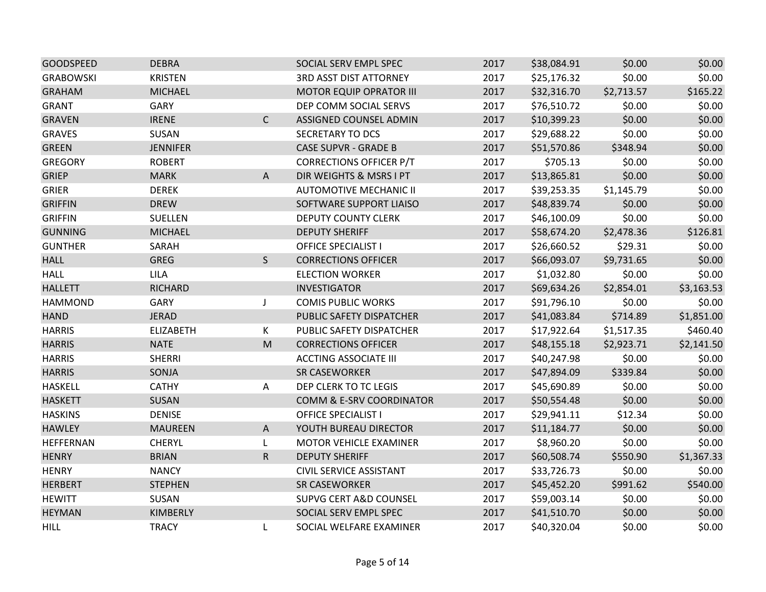| <b>GOODSPEED</b> | <b>DEBRA</b>     |                                                                                                            | SOCIAL SERV EMPL SPEC             | 2017 | \$38,084.91 | \$0.00     | \$0.00     |
|------------------|------------------|------------------------------------------------------------------------------------------------------------|-----------------------------------|------|-------------|------------|------------|
| <b>GRABOWSKI</b> | <b>KRISTEN</b>   |                                                                                                            | <b>3RD ASST DIST ATTORNEY</b>     | 2017 | \$25,176.32 | \$0.00     | \$0.00     |
| <b>GRAHAM</b>    | <b>MICHAEL</b>   |                                                                                                            | <b>MOTOR EQUIP OPRATOR III</b>    | 2017 | \$32,316.70 | \$2,713.57 | \$165.22   |
| <b>GRANT</b>     | GARY             |                                                                                                            | DEP COMM SOCIAL SERVS             | 2017 | \$76,510.72 | \$0.00     | \$0.00     |
| <b>GRAVEN</b>    | <b>IRENE</b>     | $\mathsf{C}$                                                                                               | ASSIGNED COUNSEL ADMIN            | 2017 | \$10,399.23 | \$0.00     | \$0.00     |
| <b>GRAVES</b>    | SUSAN            |                                                                                                            | SECRETARY TO DCS                  | 2017 | \$29,688.22 | \$0.00     | \$0.00     |
| <b>GREEN</b>     | <b>JENNIFER</b>  |                                                                                                            | <b>CASE SUPVR - GRADE B</b>       | 2017 | \$51,570.86 | \$348.94   | \$0.00     |
| <b>GREGORY</b>   | <b>ROBERT</b>    |                                                                                                            | <b>CORRECTIONS OFFICER P/T</b>    | 2017 | \$705.13    | \$0.00     | \$0.00     |
| <b>GRIEP</b>     | <b>MARK</b>      | $\mathsf{A}$                                                                                               | DIR WEIGHTS & MSRS I PT           | 2017 | \$13,865.81 | \$0.00     | \$0.00     |
| <b>GRIER</b>     | <b>DEREK</b>     |                                                                                                            | <b>AUTOMOTIVE MECHANIC II</b>     | 2017 | \$39,253.35 | \$1,145.79 | \$0.00     |
| <b>GRIFFIN</b>   | <b>DREW</b>      |                                                                                                            | SOFTWARE SUPPORT LIAISO           | 2017 | \$48,839.74 | \$0.00     | \$0.00     |
| <b>GRIFFIN</b>   | SUELLEN          |                                                                                                            | <b>DEPUTY COUNTY CLERK</b>        | 2017 | \$46,100.09 | \$0.00     | \$0.00     |
| <b>GUNNING</b>   | <b>MICHAEL</b>   |                                                                                                            | <b>DEPUTY SHERIFF</b>             | 2017 | \$58,674.20 | \$2,478.36 | \$126.81   |
| <b>GUNTHER</b>   | SARAH            |                                                                                                            | <b>OFFICE SPECIALIST I</b>        | 2017 | \$26,660.52 | \$29.31    | \$0.00     |
| <b>HALL</b>      | <b>GREG</b>      | $\mathsf{S}$                                                                                               | <b>CORRECTIONS OFFICER</b>        | 2017 | \$66,093.07 | \$9,731.65 | \$0.00     |
| <b>HALL</b>      | <b>LILA</b>      |                                                                                                            | <b>ELECTION WORKER</b>            | 2017 | \$1,032.80  | \$0.00     | \$0.00     |
| <b>HALLETT</b>   | <b>RICHARD</b>   |                                                                                                            | <b>INVESTIGATOR</b>               | 2017 | \$69,634.26 | \$2,854.01 | \$3,163.53 |
| <b>HAMMOND</b>   | GARY             | J                                                                                                          | <b>COMIS PUBLIC WORKS</b>         | 2017 | \$91,796.10 | \$0.00     | \$0.00     |
| <b>HAND</b>      | <b>JERAD</b>     |                                                                                                            | PUBLIC SAFETY DISPATCHER          | 2017 | \$41,083.84 | \$714.89   | \$1,851.00 |
| <b>HARRIS</b>    | <b>ELIZABETH</b> | K                                                                                                          | PUBLIC SAFETY DISPATCHER          | 2017 | \$17,922.64 | \$1,517.35 | \$460.40   |
| <b>HARRIS</b>    | <b>NATE</b>      | $\mathsf{M}% _{T}=\mathsf{M}_{T}\!\left( a,b\right) ,\ \mathsf{M}_{T}=\mathsf{M}_{T}\!\left( a,b\right) ,$ | <b>CORRECTIONS OFFICER</b>        | 2017 | \$48,155.18 | \$2,923.71 | \$2,141.50 |
| <b>HARRIS</b>    | <b>SHERRI</b>    |                                                                                                            | <b>ACCTING ASSOCIATE III</b>      | 2017 | \$40,247.98 | \$0.00     | \$0.00     |
| <b>HARRIS</b>    | SONJA            |                                                                                                            | <b>SR CASEWORKER</b>              | 2017 | \$47,894.09 | \$339.84   | \$0.00     |
| <b>HASKELL</b>   | <b>CATHY</b>     | Α                                                                                                          | DEP CLERK TO TC LEGIS             | 2017 | \$45,690.89 | \$0.00     | \$0.00     |
| <b>HASKETT</b>   | SUSAN            |                                                                                                            | COMM & E-SRV COORDINATOR          | 2017 | \$50,554.48 | \$0.00     | \$0.00     |
| <b>HASKINS</b>   | <b>DENISE</b>    |                                                                                                            | <b>OFFICE SPECIALIST I</b>        | 2017 | \$29,941.11 | \$12.34    | \$0.00     |
| <b>HAWLEY</b>    | <b>MAUREEN</b>   | $\mathsf{A}$                                                                                               | YOUTH BUREAU DIRECTOR             | 2017 | \$11,184.77 | \$0.00     | \$0.00     |
| HEFFERNAN        | <b>CHERYL</b>    | L                                                                                                          | MOTOR VEHICLE EXAMINER            | 2017 | \$8,960.20  | \$0.00     | \$0.00     |
| <b>HENRY</b>     | <b>BRIAN</b>     | ${\sf R}$                                                                                                  | <b>DEPUTY SHERIFF</b>             | 2017 | \$60,508.74 | \$550.90   | \$1,367.33 |
| <b>HENRY</b>     | <b>NANCY</b>     |                                                                                                            | <b>CIVIL SERVICE ASSISTANT</b>    | 2017 | \$33,726.73 | \$0.00     | \$0.00     |
| <b>HERBERT</b>   | <b>STEPHEN</b>   |                                                                                                            | <b>SR CASEWORKER</b>              | 2017 | \$45,452.20 | \$991.62   | \$540.00   |
| <b>HEWITT</b>    | SUSAN            |                                                                                                            | <b>SUPVG CERT A&amp;D COUNSEL</b> | 2017 | \$59,003.14 | \$0.00     | \$0.00     |
| <b>HEYMAN</b>    | KIMBERLY         |                                                                                                            | SOCIAL SERV EMPL SPEC             | 2017 | \$41,510.70 | \$0.00     | \$0.00     |
| <b>HILL</b>      | <b>TRACY</b>     | L                                                                                                          | SOCIAL WELFARE EXAMINER           | 2017 | \$40,320.04 | \$0.00     | \$0.00     |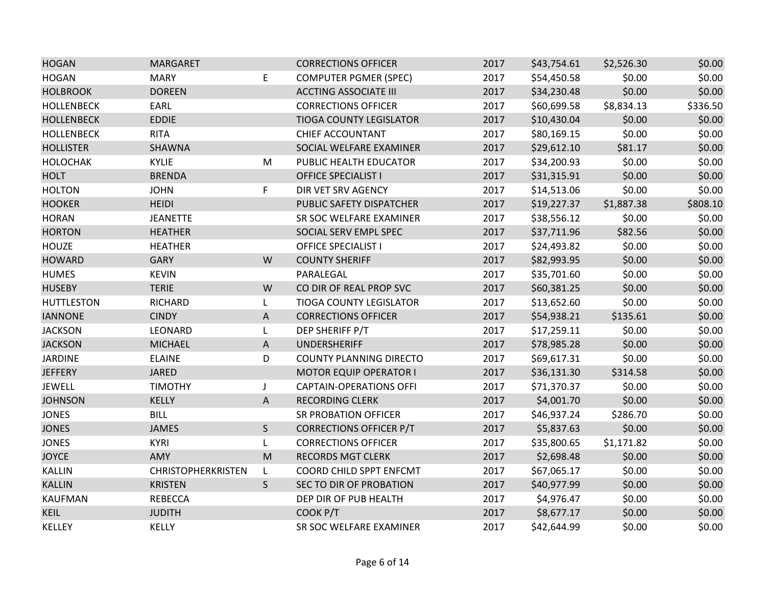| <b>HOGAN</b>      | <b>MARGARET</b>           |                                                                                                            | <b>CORRECTIONS OFFICER</b>     | 2017 | \$43,754.61 | \$2,526.30 | \$0.00   |
|-------------------|---------------------------|------------------------------------------------------------------------------------------------------------|--------------------------------|------|-------------|------------|----------|
| <b>HOGAN</b>      | <b>MARY</b>               | E                                                                                                          | <b>COMPUTER PGMER (SPEC)</b>   | 2017 | \$54,450.58 | \$0.00     | \$0.00   |
| <b>HOLBROOK</b>   | <b>DOREEN</b>             |                                                                                                            | <b>ACCTING ASSOCIATE III</b>   | 2017 | \$34,230.48 | \$0.00     | \$0.00   |
| <b>HOLLENBECK</b> | EARL                      |                                                                                                            | <b>CORRECTIONS OFFICER</b>     | 2017 | \$60,699.58 | \$8,834.13 | \$336.50 |
| <b>HOLLENBECK</b> | <b>EDDIE</b>              |                                                                                                            | <b>TIOGA COUNTY LEGISLATOR</b> | 2017 | \$10,430.04 | \$0.00     | \$0.00   |
| <b>HOLLENBECK</b> | <b>RITA</b>               |                                                                                                            | CHIEF ACCOUNTANT               | 2017 | \$80,169.15 | \$0.00     | \$0.00   |
| <b>HOLLISTER</b>  | SHAWNA                    |                                                                                                            | SOCIAL WELFARE EXAMINER        | 2017 | \$29,612.10 | \$81.17    | \$0.00   |
| <b>HOLOCHAK</b>   | KYLIE                     | M                                                                                                          | PUBLIC HEALTH EDUCATOR         | 2017 | \$34,200.93 | \$0.00     | \$0.00   |
| <b>HOLT</b>       | <b>BRENDA</b>             |                                                                                                            | <b>OFFICE SPECIALIST I</b>     | 2017 | \$31,315.91 | \$0.00     | \$0.00   |
| <b>HOLTON</b>     | <b>JOHN</b>               | F                                                                                                          | DIR VET SRV AGENCY             | 2017 | \$14,513.06 | \$0.00     | \$0.00   |
| <b>HOOKER</b>     | <b>HEIDI</b>              |                                                                                                            | PUBLIC SAFETY DISPATCHER       | 2017 | \$19,227.37 | \$1,887.38 | \$808.10 |
| <b>HORAN</b>      | <b>JEANETTE</b>           |                                                                                                            | SR SOC WELFARE EXAMINER        | 2017 | \$38,556.12 | \$0.00     | \$0.00   |
| <b>HORTON</b>     | <b>HEATHER</b>            |                                                                                                            | SOCIAL SERV EMPL SPEC          | 2017 | \$37,711.96 | \$82.56    | \$0.00   |
| <b>HOUZE</b>      | <b>HEATHER</b>            |                                                                                                            | <b>OFFICE SPECIALIST I</b>     | 2017 | \$24,493.82 | \$0.00     | \$0.00   |
| <b>HOWARD</b>     | <b>GARY</b>               | W                                                                                                          | <b>COUNTY SHERIFF</b>          | 2017 | \$82,993.95 | \$0.00     | \$0.00   |
| <b>HUMES</b>      | <b>KEVIN</b>              |                                                                                                            | PARALEGAL                      | 2017 | \$35,701.60 | \$0.00     | \$0.00   |
| <b>HUSEBY</b>     | <b>TERIE</b>              | W                                                                                                          | CO DIR OF REAL PROP SVC        | 2017 | \$60,381.25 | \$0.00     | \$0.00   |
| <b>HUTTLESTON</b> | RICHARD                   | L                                                                                                          | TIOGA COUNTY LEGISLATOR        | 2017 | \$13,652.60 | \$0.00     | \$0.00   |
| <b>IANNONE</b>    | <b>CINDY</b>              | A                                                                                                          | <b>CORRECTIONS OFFICER</b>     | 2017 | \$54,938.21 | \$135.61   | \$0.00   |
| <b>JACKSON</b>    | LEONARD                   | L                                                                                                          | DEP SHERIFF P/T                | 2017 | \$17,259.11 | \$0.00     | \$0.00   |
| <b>JACKSON</b>    | <b>MICHAEL</b>            | A                                                                                                          | <b>UNDERSHERIFF</b>            | 2017 | \$78,985.28 | \$0.00     | \$0.00   |
| <b>JARDINE</b>    | <b>ELAINE</b>             | D                                                                                                          | <b>COUNTY PLANNING DIRECTO</b> | 2017 | \$69,617.31 | \$0.00     | \$0.00   |
| <b>JEFFERY</b>    | <b>JARED</b>              |                                                                                                            | <b>MOTOR EQUIP OPERATOR I</b>  | 2017 | \$36,131.30 | \$314.58   | \$0.00   |
| <b>JEWELL</b>     | <b>TIMOTHY</b>            | J                                                                                                          | <b>CAPTAIN-OPERATIONS OFFI</b> | 2017 | \$71,370.37 | \$0.00     | \$0.00   |
| <b>JOHNSON</b>    | KELLY                     | $\mathsf{A}$                                                                                               | <b>RECORDING CLERK</b>         | 2017 | \$4,001.70  | \$0.00     | \$0.00   |
| <b>JONES</b>      | <b>BILL</b>               |                                                                                                            | <b>SR PROBATION OFFICER</b>    | 2017 | \$46,937.24 | \$286.70   | \$0.00   |
| <b>JONES</b>      | <b>JAMES</b>              | S                                                                                                          | <b>CORRECTIONS OFFICER P/T</b> | 2017 | \$5,837.63  | \$0.00     | \$0.00   |
| <b>JONES</b>      | <b>KYRI</b>               | L                                                                                                          | <b>CORRECTIONS OFFICER</b>     | 2017 | \$35,800.65 | \$1,171.82 | \$0.00   |
| <b>JOYCE</b>      | AMY                       | $\mathsf{M}% _{T}=\mathsf{M}_{T}\!\left( a,b\right) ,\ \mathsf{M}_{T}=\mathsf{M}_{T}\!\left( a,b\right) ,$ | <b>RECORDS MGT CLERK</b>       | 2017 | \$2,698.48  | \$0.00     | \$0.00   |
| <b>KALLIN</b>     | <b>CHRISTOPHERKRISTEN</b> | L                                                                                                          | COORD CHILD SPPT ENFCMT        | 2017 | \$67,065.17 | \$0.00     | \$0.00   |
| <b>KALLIN</b>     | <b>KRISTEN</b>            | $\mathsf S$                                                                                                | SEC TO DIR OF PROBATION        | 2017 | \$40,977.99 | \$0.00     | \$0.00   |
| <b>KAUFMAN</b>    | <b>REBECCA</b>            |                                                                                                            | DEP DIR OF PUB HEALTH          | 2017 | \$4,976.47  | \$0.00     | \$0.00   |
| <b>KEIL</b>       | <b>JUDITH</b>             |                                                                                                            | COOK P/T                       | 2017 | \$8,677.17  | \$0.00     | \$0.00   |
| <b>KELLEY</b>     | KELLY                     |                                                                                                            | SR SOC WELFARE EXAMINER        | 2017 | \$42,644.99 | \$0.00     | \$0.00   |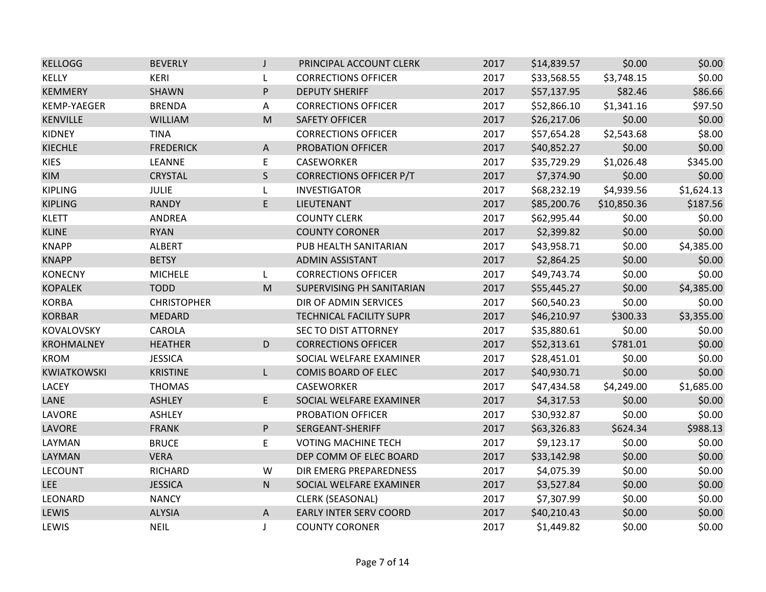| <b>KELLOGG</b>     | <b>BEVERLY</b>     | $\mathsf{J}$ | PRINCIPAL ACCOUNT CLERK        | 2017 | \$14,839.57 | \$0.00      | \$0.00     |
|--------------------|--------------------|--------------|--------------------------------|------|-------------|-------------|------------|
| <b>KELLY</b>       | KERI               | L            | <b>CORRECTIONS OFFICER</b>     | 2017 | \$33,568.55 | \$3,748.15  | \$0.00     |
| <b>KEMMERY</b>     | SHAWN              | P            | <b>DEPUTY SHERIFF</b>          | 2017 | \$57,137.95 | \$82.46     | \$86.66    |
| KEMP-YAEGER        | <b>BRENDA</b>      | Α            | <b>CORRECTIONS OFFICER</b>     | 2017 | \$52,866.10 | \$1,341.16  | \$97.50    |
| <b>KENVILLE</b>    | <b>WILLIAM</b>     | ${\sf M}$    | <b>SAFETY OFFICER</b>          | 2017 | \$26,217.06 | \$0.00      | \$0.00     |
| <b>KIDNEY</b>      | <b>TINA</b>        |              | <b>CORRECTIONS OFFICER</b>     | 2017 | \$57,654.28 | \$2,543.68  | \$8.00     |
| <b>KIECHLE</b>     | <b>FREDERICK</b>   | $\mathsf{A}$ | PROBATION OFFICER              | 2017 | \$40,852.27 | \$0.00      | \$0.00     |
| <b>KIES</b>        | LEANNE             | E            | <b>CASEWORKER</b>              | 2017 | \$35,729.29 | \$1,026.48  | \$345.00   |
| <b>KIM</b>         | <b>CRYSTAL</b>     | S            | <b>CORRECTIONS OFFICER P/T</b> | 2017 | \$7,374.90  | \$0.00      | \$0.00     |
| <b>KIPLING</b>     | <b>JULIE</b>       | L            | <b>INVESTIGATOR</b>            | 2017 | \$68,232.19 | \$4,939.56  | \$1,624.13 |
| <b>KIPLING</b>     | <b>RANDY</b>       | E            | LIEUTENANT                     | 2017 | \$85,200.76 | \$10,850.36 | \$187.56   |
| <b>KLETT</b>       | ANDREA             |              | <b>COUNTY CLERK</b>            | 2017 | \$62,995.44 | \$0.00      | \$0.00     |
| <b>KLINE</b>       | <b>RYAN</b>        |              | <b>COUNTY CORONER</b>          | 2017 | \$2,399.82  | \$0.00      | \$0.00     |
| <b>KNAPP</b>       | <b>ALBERT</b>      |              | PUB HEALTH SANITARIAN          | 2017 | \$43,958.71 | \$0.00      | \$4,385.00 |
| <b>KNAPP</b>       | <b>BETSY</b>       |              | <b>ADMIN ASSISTANT</b>         | 2017 | \$2,864.25  | \$0.00      | \$0.00     |
| <b>KONECNY</b>     | <b>MICHELE</b>     | L            | <b>CORRECTIONS OFFICER</b>     | 2017 | \$49,743.74 | \$0.00      | \$0.00     |
| <b>KOPALEK</b>     | <b>TODD</b>        | ${\sf M}$    | SUPERVISING PH SANITARIAN      | 2017 | \$55,445.27 | \$0.00      | \$4,385.00 |
| <b>KORBA</b>       | <b>CHRISTOPHER</b> |              | DIR OF ADMIN SERVICES          | 2017 | \$60,540.23 | \$0.00      | \$0.00     |
| <b>KORBAR</b>      | <b>MEDARD</b>      |              | TECHNICAL FACILITY SUPR        | 2017 | \$46,210.97 | \$300.33    | \$3,355.00 |
| KOVALOVSKY         | CAROLA             |              | <b>SEC TO DIST ATTORNEY</b>    | 2017 | \$35,880.61 | \$0.00      | \$0.00     |
| <b>KROHMALNEY</b>  | <b>HEATHER</b>     | D            | <b>CORRECTIONS OFFICER</b>     | 2017 | \$52,313.61 | \$781.01    | \$0.00     |
| <b>KROM</b>        | <b>JESSICA</b>     |              | SOCIAL WELFARE EXAMINER        | 2017 | \$28,451.01 | \$0.00      | \$0.00     |
| <b>KWIATKOWSKI</b> | <b>KRISTINE</b>    | L            | COMIS BOARD OF ELEC            | 2017 | \$40,930.71 | \$0.00      | \$0.00     |
| LACEY              | <b>THOMAS</b>      |              | <b>CASEWORKER</b>              | 2017 | \$47,434.58 | \$4,249.00  | \$1,685.00 |
| LANE               | <b>ASHLEY</b>      | E.           | SOCIAL WELFARE EXAMINER        | 2017 | \$4,317.53  | \$0.00      | \$0.00     |
| LAVORE             | ASHLEY             |              | PROBATION OFFICER              | 2017 | \$30,932.87 | \$0.00      | \$0.00     |
| LAVORE             | <b>FRANK</b>       | P            | SERGEANT-SHERIFF               | 2017 | \$63,326.83 | \$624.34    | \$988.13   |
| LAYMAN             | <b>BRUCE</b>       | E            | <b>VOTING MACHINE TECH</b>     | 2017 | \$9,123.17  | \$0.00      | \$0.00     |
| LAYMAN             | <b>VERA</b>        |              | DEP COMM OF ELEC BOARD         | 2017 | \$33,142.98 | \$0.00      | \$0.00     |
| <b>LECOUNT</b>     | <b>RICHARD</b>     | W            | DIR EMERG PREPAREDNESS         | 2017 | \$4,075.39  | \$0.00      | \$0.00     |
| <b>LEE</b>         | <b>JESSICA</b>     | ${\sf N}$    | SOCIAL WELFARE EXAMINER        | 2017 | \$3,527.84  | \$0.00      | \$0.00     |
| LEONARD            | <b>NANCY</b>       |              | <b>CLERK (SEASONAL)</b>        | 2017 | \$7,307.99  | \$0.00      | \$0.00     |
| <b>LEWIS</b>       | <b>ALYSIA</b>      | $\mathsf{A}$ | <b>EARLY INTER SERV COORD</b>  | 2017 | \$40,210.43 | \$0.00      | \$0.00     |
| LEWIS              | <b>NEIL</b>        | J            | <b>COUNTY CORONER</b>          | 2017 | \$1,449.82  | \$0.00      | \$0.00     |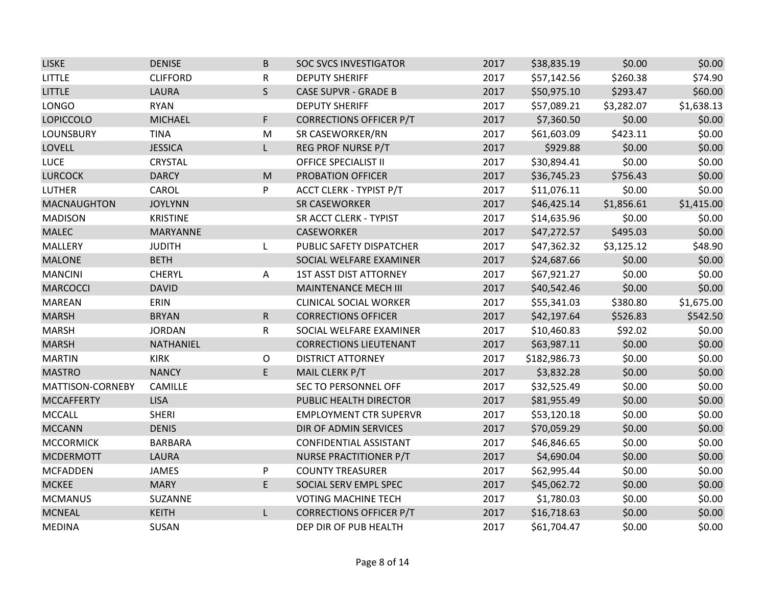| <b>LISKE</b>       | <b>DENISE</b>   | B                                                                                                          | <b>SOC SVCS INVESTIGATOR</b>   | 2017 | \$38,835.19  | \$0.00     | \$0.00     |
|--------------------|-----------------|------------------------------------------------------------------------------------------------------------|--------------------------------|------|--------------|------------|------------|
| <b>LITTLE</b>      | <b>CLIFFORD</b> | R                                                                                                          | <b>DEPUTY SHERIFF</b>          | 2017 | \$57,142.56  | \$260.38   | \$74.90    |
| <b>LITTLE</b>      | <b>LAURA</b>    | $\mathsf{S}$                                                                                               | <b>CASE SUPVR - GRADE B</b>    | 2017 | \$50,975.10  | \$293.47   | \$60.00    |
| <b>LONGO</b>       | <b>RYAN</b>     |                                                                                                            | <b>DEPUTY SHERIFF</b>          | 2017 | \$57,089.21  | \$3,282.07 | \$1,638.13 |
| <b>LOPICCOLO</b>   | <b>MICHAEL</b>  | F                                                                                                          | <b>CORRECTIONS OFFICER P/T</b> | 2017 | \$7,360.50   | \$0.00     | \$0.00     |
| LOUNSBURY          | <b>TINA</b>     | M                                                                                                          | SR CASEWORKER/RN               | 2017 | \$61,603.09  | \$423.11   | \$0.00     |
| LOVELL             | <b>JESSICA</b>  | L.                                                                                                         | REG PROF NURSE P/T             | 2017 | \$929.88     | \$0.00     | \$0.00     |
| <b>LUCE</b>        | <b>CRYSTAL</b>  |                                                                                                            | <b>OFFICE SPECIALIST II</b>    | 2017 | \$30,894.41  | \$0.00     | \$0.00     |
| <b>LURCOCK</b>     | <b>DARCY</b>    | $\mathsf{M}% _{T}=\mathsf{M}_{T}\!\left( a,b\right) ,\ \mathsf{M}_{T}=\mathsf{M}_{T}\!\left( a,b\right) ,$ | PROBATION OFFICER              | 2017 | \$36,745.23  | \$756.43   | \$0.00     |
| <b>LUTHER</b>      | CAROL           | P                                                                                                          | ACCT CLERK - TYPIST P/T        | 2017 | \$11,076.11  | \$0.00     | \$0.00     |
| <b>MACNAUGHTON</b> | <b>JOYLYNN</b>  |                                                                                                            | <b>SR CASEWORKER</b>           | 2017 | \$46,425.14  | \$1,856.61 | \$1,415.00 |
| <b>MADISON</b>     | <b>KRISTINE</b> |                                                                                                            | SR ACCT CLERK - TYPIST         | 2017 | \$14,635.96  | \$0.00     | \$0.00     |
| <b>MALEC</b>       | MARYANNE        |                                                                                                            | <b>CASEWORKER</b>              | 2017 | \$47,272.57  | \$495.03   | \$0.00     |
| MALLERY            | <b>JUDITH</b>   | L                                                                                                          | PUBLIC SAFETY DISPATCHER       | 2017 | \$47,362.32  | \$3,125.12 | \$48.90    |
| <b>MALONE</b>      | <b>BETH</b>     |                                                                                                            | SOCIAL WELFARE EXAMINER        | 2017 | \$24,687.66  | \$0.00     | \$0.00     |
| <b>MANCINI</b>     | <b>CHERYL</b>   | Α                                                                                                          | <b>1ST ASST DIST ATTORNEY</b>  | 2017 | \$67,921.27  | \$0.00     | \$0.00     |
| <b>MARCOCCI</b>    | <b>DAVID</b>    |                                                                                                            | MAINTENANCE MECH III           | 2017 | \$40,542.46  | \$0.00     | \$0.00     |
| <b>MAREAN</b>      | ERIN            |                                                                                                            | <b>CLINICAL SOCIAL WORKER</b>  | 2017 | \$55,341.03  | \$380.80   | \$1,675.00 |
| <b>MARSH</b>       | <b>BRYAN</b>    | $\mathsf{R}$                                                                                               | <b>CORRECTIONS OFFICER</b>     | 2017 | \$42,197.64  | \$526.83   | \$542.50   |
| <b>MARSH</b>       | <b>JORDAN</b>   | R                                                                                                          | SOCIAL WELFARE EXAMINER        | 2017 | \$10,460.83  | \$92.02    | \$0.00     |
| <b>MARSH</b>       | NATHANIEL       |                                                                                                            | <b>CORRECTIONS LIEUTENANT</b>  | 2017 | \$63,987.11  | \$0.00     | \$0.00     |
| <b>MARTIN</b>      | <b>KIRK</b>     | $\mathsf O$                                                                                                | <b>DISTRICT ATTORNEY</b>       | 2017 | \$182,986.73 | \$0.00     | \$0.00     |
| <b>MASTRO</b>      | <b>NANCY</b>    | E.                                                                                                         | MAIL CLERK P/T                 | 2017 | \$3,832.28   | \$0.00     | \$0.00     |
| MATTISON-CORNEBY   | CAMILLE         |                                                                                                            | SEC TO PERSONNEL OFF           | 2017 | \$32,525.49  | \$0.00     | \$0.00     |
| <b>MCCAFFERTY</b>  | <b>LISA</b>     |                                                                                                            | PUBLIC HEALTH DIRECTOR         | 2017 | \$81,955.49  | \$0.00     | \$0.00     |
| <b>MCCALL</b>      | <b>SHERI</b>    |                                                                                                            | <b>EMPLOYMENT CTR SUPERVR</b>  | 2017 | \$53,120.18  | \$0.00     | \$0.00     |
| <b>MCCANN</b>      | <b>DENIS</b>    |                                                                                                            | DIR OF ADMIN SERVICES          | 2017 | \$70,059.29  | \$0.00     | \$0.00     |
| <b>MCCORMICK</b>   | <b>BARBARA</b>  |                                                                                                            | CONFIDENTIAL ASSISTANT         | 2017 | \$46,846.65  | \$0.00     | \$0.00     |
| <b>MCDERMOTT</b>   | <b>LAURA</b>    |                                                                                                            | NURSE PRACTITIONER P/T         | 2017 | \$4,690.04   | \$0.00     | \$0.00     |
| <b>MCFADDEN</b>    | JAMES           | P                                                                                                          | <b>COUNTY TREASURER</b>        | 2017 | \$62,995.44  | \$0.00     | \$0.00     |
| <b>MCKEE</b>       | <b>MARY</b>     | E                                                                                                          | SOCIAL SERV EMPL SPEC          | 2017 | \$45,062.72  | \$0.00     | \$0.00     |
| <b>MCMANUS</b>     | SUZANNE         |                                                                                                            | <b>VOTING MACHINE TECH</b>     | 2017 | \$1,780.03   | \$0.00     | \$0.00     |
| <b>MCNEAL</b>      | <b>KEITH</b>    | L                                                                                                          | <b>CORRECTIONS OFFICER P/T</b> | 2017 | \$16,718.63  | \$0.00     | \$0.00     |
| <b>MEDINA</b>      | SUSAN           |                                                                                                            | DEP DIR OF PUB HEALTH          | 2017 | \$61,704.47  | \$0.00     | \$0.00     |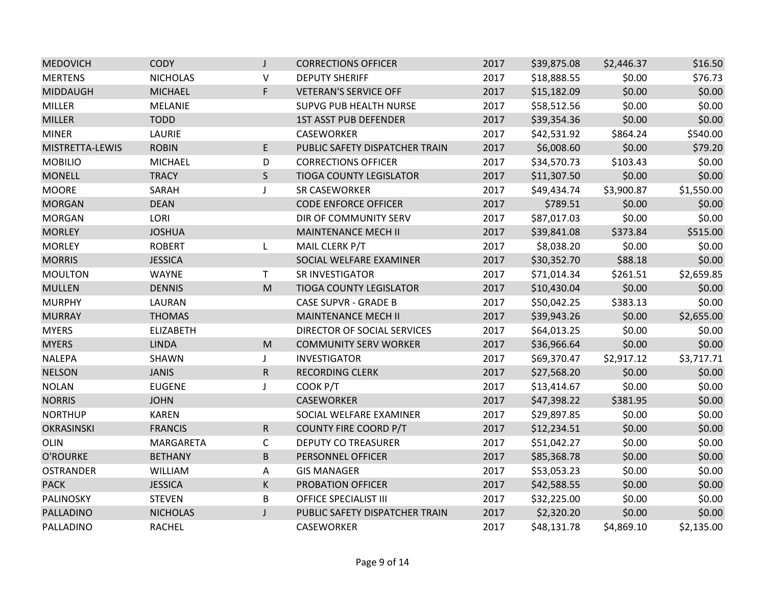| <b>MEDOVICH</b>  | <b>CODY</b>      | J                                                                                                          | <b>CORRECTIONS OFFICER</b>     | 2017 | \$39,875.08 | \$2,446.37 | \$16.50    |
|------------------|------------------|------------------------------------------------------------------------------------------------------------|--------------------------------|------|-------------|------------|------------|
| <b>MERTENS</b>   | <b>NICHOLAS</b>  | V                                                                                                          | <b>DEPUTY SHERIFF</b>          | 2017 | \$18,888.55 | \$0.00     | \$76.73    |
| <b>MIDDAUGH</b>  | <b>MICHAEL</b>   | F                                                                                                          | <b>VETERAN'S SERVICE OFF</b>   | 2017 | \$15,182.09 | \$0.00     | \$0.00     |
| <b>MILLER</b>    | MELANIE          |                                                                                                            | <b>SUPVG PUB HEALTH NURSE</b>  | 2017 | \$58,512.56 | \$0.00     | \$0.00     |
| <b>MILLER</b>    | <b>TODD</b>      |                                                                                                            | <b>1ST ASST PUB DEFENDER</b>   | 2017 | \$39,354.36 | \$0.00     | \$0.00     |
| <b>MINER</b>     | LAURIE           |                                                                                                            | CASEWORKER                     | 2017 | \$42,531.92 | \$864.24   | \$540.00   |
| MISTRETTA-LEWIS  | <b>ROBIN</b>     | E                                                                                                          | PUBLIC SAFETY DISPATCHER TRAIN | 2017 | \$6,008.60  | \$0.00     | \$79.20    |
| <b>MOBILIO</b>   | <b>MICHAEL</b>   | D                                                                                                          | <b>CORRECTIONS OFFICER</b>     | 2017 | \$34,570.73 | \$103.43   | \$0.00     |
| <b>MONELL</b>    | <b>TRACY</b>     | $\mathsf{S}$                                                                                               | <b>TIOGA COUNTY LEGISLATOR</b> | 2017 | \$11,307.50 | \$0.00     | \$0.00     |
| <b>MOORE</b>     | SARAH            | $\mathbf{J}$                                                                                               | SR CASEWORKER                  | 2017 | \$49,434.74 | \$3,900.87 | \$1,550.00 |
| <b>MORGAN</b>    | <b>DEAN</b>      |                                                                                                            | <b>CODE ENFORCE OFFICER</b>    | 2017 | \$789.51    | \$0.00     | \$0.00     |
| <b>MORGAN</b>    | LORI             |                                                                                                            | DIR OF COMMUNITY SERV          | 2017 | \$87,017.03 | \$0.00     | \$0.00     |
| <b>MORLEY</b>    | <b>JOSHUA</b>    |                                                                                                            | <b>MAINTENANCE MECH II</b>     | 2017 | \$39,841.08 | \$373.84   | \$515.00   |
| <b>MORLEY</b>    | <b>ROBERT</b>    | L                                                                                                          | MAIL CLERK P/T                 | 2017 | \$8,038.20  | \$0.00     | \$0.00     |
| <b>MORRIS</b>    | <b>JESSICA</b>   |                                                                                                            | SOCIAL WELFARE EXAMINER        | 2017 | \$30,352.70 | \$88.18    | \$0.00     |
| <b>MOULTON</b>   | <b>WAYNE</b>     | $\mathsf{T}$                                                                                               | SR INVESTIGATOR                | 2017 | \$71,014.34 | \$261.51   | \$2,659.85 |
| <b>MULLEN</b>    | <b>DENNIS</b>    | M                                                                                                          | <b>TIOGA COUNTY LEGISLATOR</b> | 2017 | \$10,430.04 | \$0.00     | \$0.00     |
| <b>MURPHY</b>    | LAURAN           |                                                                                                            | <b>CASE SUPVR - GRADE B</b>    | 2017 | \$50,042.25 | \$383.13   | \$0.00     |
| <b>MURRAY</b>    | <b>THOMAS</b>    |                                                                                                            | <b>MAINTENANCE MECH II</b>     | 2017 | \$39,943.26 | \$0.00     | \$2,655.00 |
| <b>MYERS</b>     | <b>ELIZABETH</b> |                                                                                                            | DIRECTOR OF SOCIAL SERVICES    | 2017 | \$64,013.25 | \$0.00     | \$0.00     |
| <b>MYERS</b>     | <b>LINDA</b>     | $\mathsf{M}% _{T}=\mathsf{M}_{T}\!\left( a,b\right) ,\ \mathsf{M}_{T}=\mathsf{M}_{T}\!\left( a,b\right) ,$ | <b>COMMUNITY SERV WORKER</b>   | 2017 | \$36,966.64 | \$0.00     | \$0.00     |
| <b>NALEPA</b>    | SHAWN            | J                                                                                                          | <b>INVESTIGATOR</b>            | 2017 | \$69,370.47 | \$2,917.12 | \$3,717.71 |
| <b>NELSON</b>    | <b>JANIS</b>     | ${\sf R}$                                                                                                  | <b>RECORDING CLERK</b>         | 2017 | \$27,568.20 | \$0.00     | \$0.00     |
| <b>NOLAN</b>     | <b>EUGENE</b>    | J                                                                                                          | COOK P/T                       | 2017 | \$13,414.67 | \$0.00     | \$0.00     |
| <b>NORRIS</b>    | <b>JOHN</b>      |                                                                                                            | CASEWORKER                     | 2017 | \$47,398.22 | \$381.95   | \$0.00     |
| <b>NORTHUP</b>   | <b>KAREN</b>     |                                                                                                            | SOCIAL WELFARE EXAMINER        | 2017 | \$29,897.85 | \$0.00     | \$0.00     |
| OKRASINSKI       | <b>FRANCIS</b>   | $\mathsf{R}$                                                                                               | <b>COUNTY FIRE COORD P/T</b>   | 2017 | \$12,234.51 | \$0.00     | \$0.00     |
| <b>OLIN</b>      | <b>MARGARETA</b> | $\mathsf{C}$                                                                                               | <b>DEPUTY CO TREASURER</b>     | 2017 | \$51,042.27 | \$0.00     | \$0.00     |
| <b>O'ROURKE</b>  | <b>BETHANY</b>   | B                                                                                                          | <b>PERSONNEL OFFICER</b>       | 2017 | \$85,368.78 | \$0.00     | \$0.00     |
| <b>OSTRANDER</b> | WILLIAM          | A                                                                                                          | <b>GIS MANAGER</b>             | 2017 | \$53,053.23 | \$0.00     | \$0.00     |
| <b>PACK</b>      | <b>JESSICA</b>   | К                                                                                                          | PROBATION OFFICER              | 2017 | \$42,588.55 | \$0.00     | \$0.00     |
| PALINOSKY        | <b>STEVEN</b>    | B                                                                                                          | <b>OFFICE SPECIALIST III</b>   | 2017 | \$32,225.00 | \$0.00     | \$0.00     |
| PALLADINO        | <b>NICHOLAS</b>  | $\mathsf{J}$                                                                                               | PUBLIC SAFETY DISPATCHER TRAIN | 2017 | \$2,320.20  | \$0.00     | \$0.00     |
| PALLADINO        | <b>RACHEL</b>    |                                                                                                            | CASEWORKER                     | 2017 | \$48,131.78 | \$4,869.10 | \$2,135.00 |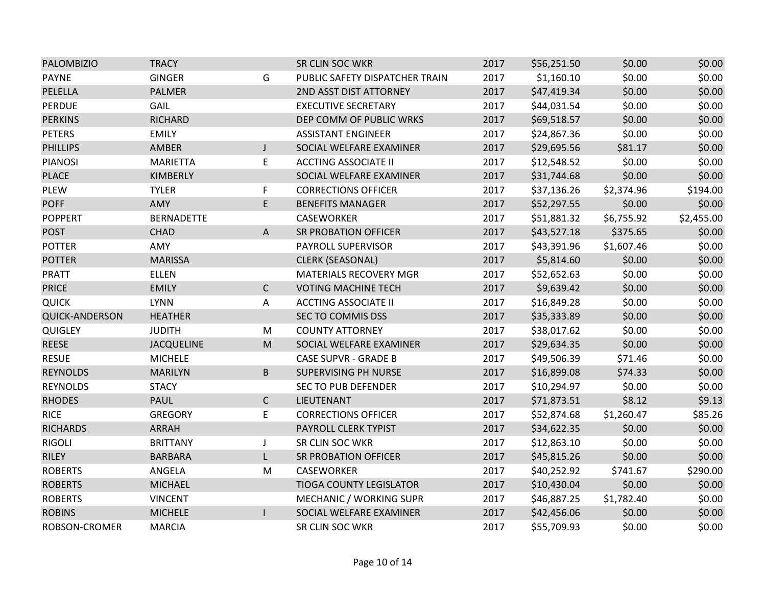| <b>PALOMBIZIO</b>     | <b>TRACY</b>      |                | SR CLIN SOC WKR                | 2017 | \$56,251.50 | \$0.00     | \$0.00     |
|-----------------------|-------------------|----------------|--------------------------------|------|-------------|------------|------------|
| <b>PAYNE</b>          | <b>GINGER</b>     | G              | PUBLIC SAFETY DISPATCHER TRAIN | 2017 | \$1,160.10  | \$0.00     | \$0.00     |
| PELELLA               | <b>PALMER</b>     |                | 2ND ASST DIST ATTORNEY         | 2017 | \$47,419.34 | \$0.00     | \$0.00     |
| <b>PERDUE</b>         | GAIL              |                | <b>EXECUTIVE SECRETARY</b>     | 2017 | \$44,031.54 | \$0.00     | \$0.00     |
| <b>PERKINS</b>        | <b>RICHARD</b>    |                | DEP COMM OF PUBLIC WRKS        | 2017 | \$69,518.57 | \$0.00     | \$0.00     |
| <b>PETERS</b>         | <b>EMILY</b>      |                | <b>ASSISTANT ENGINEER</b>      | 2017 | \$24,867.36 | \$0.00     | \$0.00     |
| <b>PHILLIPS</b>       | AMBER             | J              | SOCIAL WELFARE EXAMINER        | 2017 | \$29,695.56 | \$81.17    | \$0.00     |
| <b>PIANOSI</b>        | <b>MARIETTA</b>   | E              | <b>ACCTING ASSOCIATE II</b>    | 2017 | \$12,548.52 | \$0.00     | \$0.00     |
| <b>PLACE</b>          | KIMBERLY          |                | SOCIAL WELFARE EXAMINER        | 2017 | \$31,744.68 | \$0.00     | \$0.00     |
| <b>PLEW</b>           | <b>TYLER</b>      | F              | <b>CORRECTIONS OFFICER</b>     | 2017 | \$37,136.26 | \$2,374.96 | \$194.00   |
| <b>POFF</b>           | AMY               | E              | <b>BENEFITS MANAGER</b>        | 2017 | \$52,297.55 | \$0.00     | \$0.00     |
| <b>POPPERT</b>        | <b>BERNADETTE</b> |                | <b>CASEWORKER</b>              | 2017 | \$51,881.32 | \$6,755.92 | \$2,455.00 |
| <b>POST</b>           | <b>CHAD</b>       | A              | <b>SR PROBATION OFFICER</b>    | 2017 | \$43,527.18 | \$375.65   | \$0.00     |
| <b>POTTER</b>         | AMY               |                | PAYROLL SUPERVISOR             | 2017 | \$43,391.96 | \$1,607.46 | \$0.00     |
| <b>POTTER</b>         | <b>MARISSA</b>    |                | <b>CLERK (SEASONAL)</b>        | 2017 | \$5,814.60  | \$0.00     | \$0.00     |
| <b>PRATT</b>          | <b>ELLEN</b>      |                | <b>MATERIALS RECOVERY MGR</b>  | 2017 | \$52,652.63 | \$0.00     | \$0.00     |
| <b>PRICE</b>          | <b>EMILY</b>      | $\mathsf{C}$   | <b>VOTING MACHINE TECH</b>     | 2017 | \$9,639.42  | \$0.00     | \$0.00     |
| <b>QUICK</b>          | <b>LYNN</b>       | Α              | <b>ACCTING ASSOCIATE II</b>    | 2017 | \$16,849.28 | \$0.00     | \$0.00     |
| <b>QUICK-ANDERSON</b> | <b>HEATHER</b>    |                | SEC TO COMMIS DSS              | 2017 | \$35,333.89 | \$0.00     | \$0.00     |
| <b>QUIGLEY</b>        | <b>JUDITH</b>     | ${\sf M}$      | <b>COUNTY ATTORNEY</b>         | 2017 | \$38,017.62 | \$0.00     | \$0.00     |
| <b>REESE</b>          | <b>JACQUELINE</b> | M              | SOCIAL WELFARE EXAMINER        | 2017 | \$29,634.35 | \$0.00     | \$0.00     |
| <b>RESUE</b>          | <b>MICHELE</b>    |                | <b>CASE SUPVR - GRADE B</b>    | 2017 | \$49,506.39 | \$71.46    | \$0.00     |
| <b>REYNOLDS</b>       | <b>MARILYN</b>    | B              | SUPERVISING PH NURSE           | 2017 | \$16,899.08 | \$74.33    | \$0.00     |
| <b>REYNOLDS</b>       | <b>STACY</b>      |                | <b>SEC TO PUB DEFENDER</b>     | 2017 | \$10,294.97 | \$0.00     | \$0.00     |
| <b>RHODES</b>         | <b>PAUL</b>       | $\mathsf{C}$   | LIEUTENANT                     | 2017 | \$71,873.51 | \$8.12     | \$9.13     |
| <b>RICE</b>           | <b>GREGORY</b>    | E              | <b>CORRECTIONS OFFICER</b>     | 2017 | \$52,874.68 | \$1,260.47 | \$85.26    |
| <b>RICHARDS</b>       | ARRAH             |                | PAYROLL CLERK TYPIST           | 2017 | \$34,622.35 | \$0.00     | \$0.00     |
| <b>RIGOLI</b>         | <b>BRITTANY</b>   | J              | SR CLIN SOC WKR                | 2017 | \$12,863.10 | \$0.00     | \$0.00     |
| <b>RILEY</b>          | <b>BARBARA</b>    | L              | <b>SR PROBATION OFFICER</b>    | 2017 | \$45,815.26 | \$0.00     | \$0.00     |
| <b>ROBERTS</b>        | ANGELA            | M              | CASEWORKER                     | 2017 | \$40,252.92 | \$741.67   | \$290.00   |
| <b>ROBERTS</b>        | <b>MICHAEL</b>    |                | <b>TIOGA COUNTY LEGISLATOR</b> | 2017 | \$10,430.04 | \$0.00     | \$0.00     |
| <b>ROBERTS</b>        | <b>VINCENT</b>    |                | MECHANIC / WORKING SUPR        | 2017 | \$46,887.25 | \$1,782.40 | \$0.00     |
| <b>ROBINS</b>         | <b>MICHELE</b>    | $\overline{1}$ | SOCIAL WELFARE EXAMINER        | 2017 | \$42,456.06 | \$0.00     | \$0.00     |
| ROBSON-CROMER         | <b>MARCIA</b>     |                | SR CLIN SOC WKR                | 2017 | \$55,709.93 | \$0.00     | \$0.00     |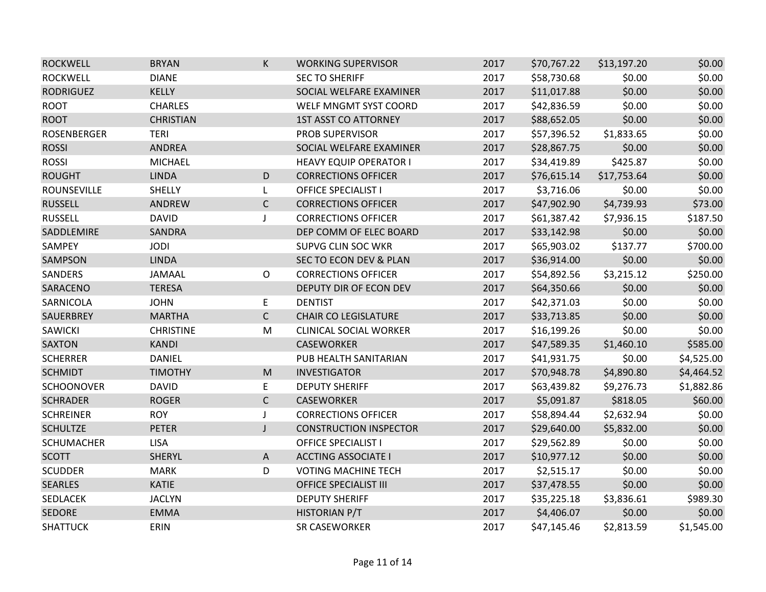| <b>ROCKWELL</b>    | <b>BRYAN</b>     | K                                                                                                          | <b>WORKING SUPERVISOR</b>         | 2017 | \$70,767.22 | \$13,197.20 | \$0.00     |
|--------------------|------------------|------------------------------------------------------------------------------------------------------------|-----------------------------------|------|-------------|-------------|------------|
| <b>ROCKWELL</b>    | <b>DIANE</b>     |                                                                                                            | <b>SEC TO SHERIFF</b>             | 2017 | \$58,730.68 | \$0.00      | \$0.00     |
| <b>RODRIGUEZ</b>   | <b>KELLY</b>     |                                                                                                            | SOCIAL WELFARE EXAMINER           | 2017 | \$11,017.88 | \$0.00      | \$0.00     |
| <b>ROOT</b>        | <b>CHARLES</b>   |                                                                                                            | WELF MNGMT SYST COORD             | 2017 | \$42,836.59 | \$0.00      | \$0.00     |
| <b>ROOT</b>        | <b>CHRISTIAN</b> |                                                                                                            | <b>1ST ASST CO ATTORNEY</b>       | 2017 | \$88,652.05 | \$0.00      | \$0.00     |
| <b>ROSENBERGER</b> | <b>TERI</b>      |                                                                                                            | PROB SUPERVISOR                   | 2017 | \$57,396.52 | \$1,833.65  | \$0.00     |
| <b>ROSSI</b>       | <b>ANDREA</b>    |                                                                                                            | SOCIAL WELFARE EXAMINER           | 2017 | \$28,867.75 | \$0.00      | \$0.00     |
| <b>ROSSI</b>       | MICHAEL          |                                                                                                            | <b>HEAVY EQUIP OPERATOR I</b>     | 2017 | \$34,419.89 | \$425.87    | \$0.00     |
| <b>ROUGHT</b>      | <b>LINDA</b>     | D                                                                                                          | <b>CORRECTIONS OFFICER</b>        | 2017 | \$76,615.14 | \$17,753.64 | \$0.00     |
| <b>ROUNSEVILLE</b> | SHELLY           | L                                                                                                          | <b>OFFICE SPECIALIST I</b>        | 2017 | \$3,716.06  | \$0.00      | \$0.00     |
| <b>RUSSELL</b>     | ANDREW           | $\mathsf{C}$                                                                                               | <b>CORRECTIONS OFFICER</b>        | 2017 | \$47,902.90 | \$4,739.93  | \$73.00    |
| <b>RUSSELL</b>     | <b>DAVID</b>     | J                                                                                                          | <b>CORRECTIONS OFFICER</b>        | 2017 | \$61,387.42 | \$7,936.15  | \$187.50   |
| SADDLEMIRE         | SANDRA           |                                                                                                            | DEP COMM OF ELEC BOARD            | 2017 | \$33,142.98 | \$0.00      | \$0.00     |
| SAMPEY             | <b>JODI</b>      |                                                                                                            | SUPVG CLIN SOC WKR                | 2017 | \$65,903.02 | \$137.77    | \$700.00   |
| <b>SAMPSON</b>     | <b>LINDA</b>     |                                                                                                            | <b>SEC TO ECON DEV &amp; PLAN</b> | 2017 | \$36,914.00 | \$0.00      | \$0.00     |
| SANDERS            | JAMAAL           | 0                                                                                                          | <b>CORRECTIONS OFFICER</b>        | 2017 | \$54,892.56 | \$3,215.12  | \$250.00   |
| SARACENO           | <b>TERESA</b>    |                                                                                                            | DEPUTY DIR OF ECON DEV            | 2017 | \$64,350.66 | \$0.00      | \$0.00     |
| SARNICOLA          | <b>JOHN</b>      | E                                                                                                          | <b>DENTIST</b>                    | 2017 | \$42,371.03 | \$0.00      | \$0.00     |
| SAUERBREY          | <b>MARTHA</b>    | $\mathsf{C}$                                                                                               | <b>CHAIR CO LEGISLATURE</b>       | 2017 | \$33,713.85 | \$0.00      | \$0.00     |
| SAWICKI            | <b>CHRISTINE</b> | ${\sf M}$                                                                                                  | <b>CLINICAL SOCIAL WORKER</b>     | 2017 | \$16,199.26 | \$0.00      | \$0.00     |
| <b>SAXTON</b>      | <b>KANDI</b>     |                                                                                                            | <b>CASEWORKER</b>                 | 2017 | \$47,589.35 | \$1,460.10  | \$585.00   |
| <b>SCHERRER</b>    | <b>DANIEL</b>    |                                                                                                            | PUB HEALTH SANITARIAN             | 2017 | \$41,931.75 | \$0.00      | \$4,525.00 |
| <b>SCHMIDT</b>     | <b>TIMOTHY</b>   | $\mathsf{M}% _{T}=\mathsf{M}_{T}\!\left( a,b\right) ,\ \mathsf{M}_{T}=\mathsf{M}_{T}\!\left( a,b\right) ,$ | <b>INVESTIGATOR</b>               | 2017 | \$70,948.78 | \$4,890.80  | \$4,464.52 |
| <b>SCHOONOVER</b>  | <b>DAVID</b>     | E.                                                                                                         | <b>DEPUTY SHERIFF</b>             | 2017 | \$63,439.82 | \$9,276.73  | \$1,882.86 |
| <b>SCHRADER</b>    | <b>ROGER</b>     | $\mathsf{C}$                                                                                               | <b>CASEWORKER</b>                 | 2017 | \$5,091.87  | \$818.05    | \$60.00    |
| <b>SCHREINER</b>   | <b>ROY</b>       | $\mathsf J$                                                                                                | <b>CORRECTIONS OFFICER</b>        | 2017 | \$58,894.44 | \$2,632.94  | \$0.00     |
| <b>SCHULTZE</b>    | <b>PETER</b>     | $\mathsf J$                                                                                                | <b>CONSTRUCTION INSPECTOR</b>     | 2017 | \$29,640.00 | \$5,832.00  | \$0.00     |
| <b>SCHUMACHER</b>  | <b>LISA</b>      |                                                                                                            | <b>OFFICE SPECIALIST I</b>        | 2017 | \$29,562.89 | \$0.00      | \$0.00     |
| <b>SCOTT</b>       | <b>SHERYL</b>    | A                                                                                                          | <b>ACCTING ASSOCIATE I</b>        | 2017 | \$10,977.12 | \$0.00      | \$0.00     |
| <b>SCUDDER</b>     | <b>MARK</b>      | D                                                                                                          | <b>VOTING MACHINE TECH</b>        | 2017 | \$2,515.17  | \$0.00      | \$0.00     |
| <b>SEARLES</b>     | <b>KATIE</b>     |                                                                                                            | <b>OFFICE SPECIALIST III</b>      | 2017 | \$37,478.55 | \$0.00      | \$0.00     |
| SEDLACEK           | <b>JACLYN</b>    |                                                                                                            | <b>DEPUTY SHERIFF</b>             | 2017 | \$35,225.18 | \$3,836.61  | \$989.30   |
| <b>SEDORE</b>      | <b>EMMA</b>      |                                                                                                            | <b>HISTORIAN P/T</b>              | 2017 | \$4,406.07  | \$0.00      | \$0.00     |
| <b>SHATTUCK</b>    | ERIN             |                                                                                                            | <b>SR CASEWORKER</b>              | 2017 | \$47,145.46 | \$2,813.59  | \$1,545.00 |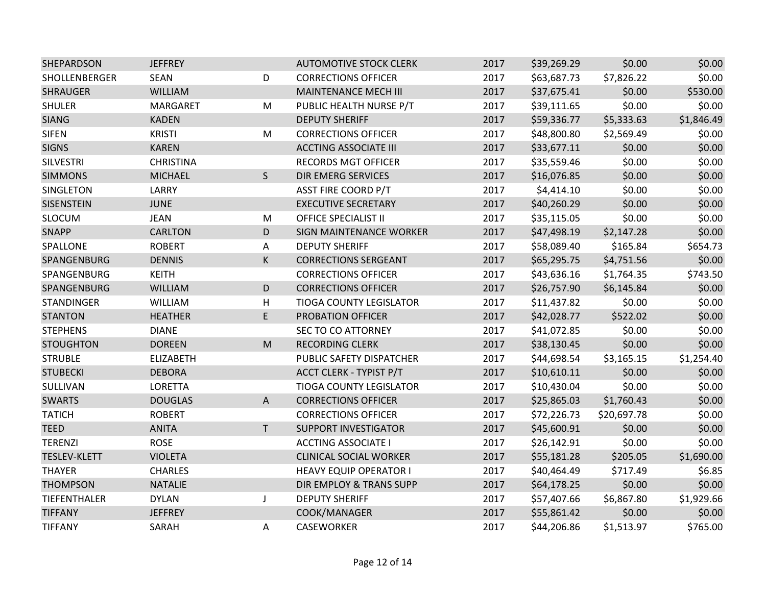| SHEPARDSON          | <b>JEFFREY</b>   |              | <b>AUTOMOTIVE STOCK CLERK</b>  | 2017 | \$39,269.29 | \$0.00      | \$0.00     |
|---------------------|------------------|--------------|--------------------------------|------|-------------|-------------|------------|
| SHOLLENBERGER       | <b>SEAN</b>      | D            | <b>CORRECTIONS OFFICER</b>     | 2017 | \$63,687.73 | \$7,826.22  | \$0.00     |
| <b>SHRAUGER</b>     | <b>WILLIAM</b>   |              | <b>MAINTENANCE MECH III</b>    | 2017 | \$37,675.41 | \$0.00      | \$530.00   |
| <b>SHULER</b>       | MARGARET         | M            | PUBLIC HEALTH NURSE P/T        | 2017 | \$39,111.65 | \$0.00      | \$0.00     |
| <b>SIANG</b>        | <b>KADEN</b>     |              | <b>DEPUTY SHERIFF</b>          | 2017 | \$59,336.77 | \$5,333.63  | \$1,846.49 |
| <b>SIFEN</b>        | <b>KRISTI</b>    | M            | <b>CORRECTIONS OFFICER</b>     | 2017 | \$48,800.80 | \$2,569.49  | \$0.00     |
| <b>SIGNS</b>        | <b>KAREN</b>     |              | <b>ACCTING ASSOCIATE III</b>   | 2017 | \$33,677.11 | \$0.00      | \$0.00     |
| <b>SILVESTRI</b>    | <b>CHRISTINA</b> |              | <b>RECORDS MGT OFFICER</b>     | 2017 | \$35,559.46 | \$0.00      | \$0.00     |
| <b>SIMMONS</b>      | <b>MICHAEL</b>   | $\mathsf{S}$ | <b>DIR EMERG SERVICES</b>      | 2017 | \$16,076.85 | \$0.00      | \$0.00     |
| SINGLETON           | LARRY            |              | <b>ASST FIRE COORD P/T</b>     | 2017 | \$4,414.10  | \$0.00      | \$0.00     |
| <b>SISENSTEIN</b>   | <b>JUNE</b>      |              | <b>EXECUTIVE SECRETARY</b>     | 2017 | \$40,260.29 | \$0.00      | \$0.00     |
| SLOCUM              | <b>JEAN</b>      | M            | <b>OFFICE SPECIALIST II</b>    | 2017 | \$35,115.05 | \$0.00      | \$0.00     |
| <b>SNAPP</b>        | <b>CARLTON</b>   | D            | SIGN MAINTENANCE WORKER        | 2017 | \$47,498.19 | \$2,147.28  | \$0.00     |
| SPALLONE            | <b>ROBERT</b>    | Α            | <b>DEPUTY SHERIFF</b>          | 2017 | \$58,089.40 | \$165.84    | \$654.73   |
| SPANGENBURG         | <b>DENNIS</b>    | K            | <b>CORRECTIONS SERGEANT</b>    | 2017 | \$65,295.75 | \$4,751.56  | \$0.00     |
| SPANGENBURG         | <b>KEITH</b>     |              | <b>CORRECTIONS OFFICER</b>     | 2017 | \$43,636.16 | \$1,764.35  | \$743.50   |
| SPANGENBURG         | <b>WILLIAM</b>   | D            | <b>CORRECTIONS OFFICER</b>     | 2017 | \$26,757.90 | \$6,145.84  | \$0.00     |
| <b>STANDINGER</b>   | <b>WILLIAM</b>   | Н            | <b>TIOGA COUNTY LEGISLATOR</b> | 2017 | \$11,437.82 | \$0.00      | \$0.00     |
| <b>STANTON</b>      | <b>HEATHER</b>   | E            | <b>PROBATION OFFICER</b>       | 2017 | \$42,028.77 | \$522.02    | \$0.00     |
| <b>STEPHENS</b>     | <b>DIANE</b>     |              | SEC TO CO ATTORNEY             | 2017 | \$41,072.85 | \$0.00      | \$0.00     |
| <b>STOUGHTON</b>    | <b>DOREEN</b>    | M            | <b>RECORDING CLERK</b>         | 2017 | \$38,130.45 | \$0.00      | \$0.00     |
| <b>STRUBLE</b>      | <b>ELIZABETH</b> |              | PUBLIC SAFETY DISPATCHER       | 2017 | \$44,698.54 | \$3,165.15  | \$1,254.40 |
| <b>STUBECKI</b>     | <b>DEBORA</b>    |              | ACCT CLERK - TYPIST P/T        | 2017 | \$10,610.11 | \$0.00      | \$0.00     |
| SULLIVAN            | LORETTA          |              | <b>TIOGA COUNTY LEGISLATOR</b> | 2017 | \$10,430.04 | \$0.00      | \$0.00     |
| <b>SWARTS</b>       | <b>DOUGLAS</b>   | A            | <b>CORRECTIONS OFFICER</b>     | 2017 | \$25,865.03 | \$1,760.43  | \$0.00     |
| <b>TATICH</b>       | <b>ROBERT</b>    |              | <b>CORRECTIONS OFFICER</b>     | 2017 | \$72,226.73 | \$20,697.78 | \$0.00     |
| <b>TEED</b>         | <b>ANITA</b>     | T.           | <b>SUPPORT INVESTIGATOR</b>    | 2017 | \$45,600.91 | \$0.00      | \$0.00     |
| <b>TERENZI</b>      | <b>ROSE</b>      |              | <b>ACCTING ASSOCIATE I</b>     | 2017 | \$26,142.91 | \$0.00      | \$0.00     |
| <b>TESLEV-KLETT</b> | <b>VIOLETA</b>   |              | <b>CLINICAL SOCIAL WORKER</b>  | 2017 | \$55,181.28 | \$205.05    | \$1,690.00 |
| <b>THAYER</b>       | <b>CHARLES</b>   |              | <b>HEAVY EQUIP OPERATOR I</b>  | 2017 | \$40,464.49 | \$717.49    | \$6.85     |
| <b>THOMPSON</b>     | <b>NATALIE</b>   |              | DIR EMPLOY & TRANS SUPP        | 2017 | \$64,178.25 | \$0.00      | \$0.00     |
| TIEFENTHALER        | <b>DYLAN</b>     | J            | <b>DEPUTY SHERIFF</b>          | 2017 | \$57,407.66 | \$6,867.80  | \$1,929.66 |
| <b>TIFFANY</b>      | <b>JEFFREY</b>   |              | COOK/MANAGER                   | 2017 | \$55,861.42 | \$0.00      | \$0.00     |
| <b>TIFFANY</b>      | SARAH            | A            | CASEWORKER                     | 2017 | \$44,206.86 | \$1,513.97  | \$765.00   |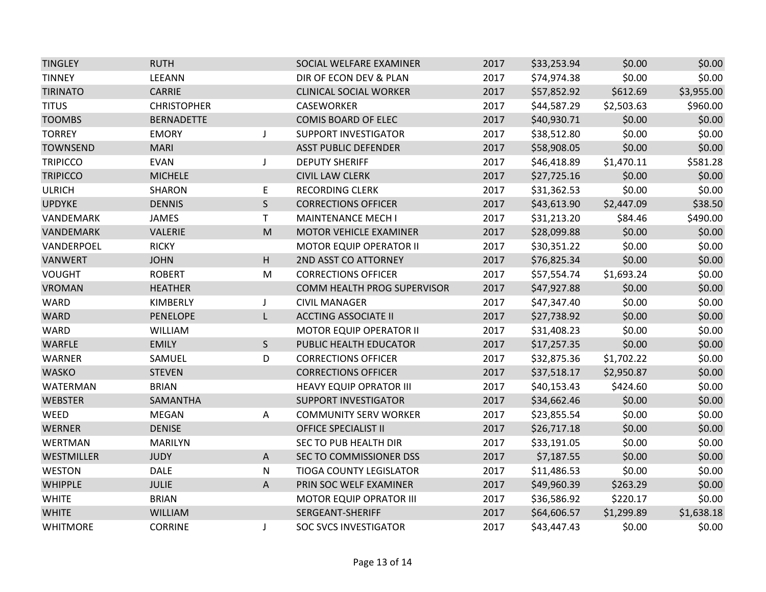| <b>TINGLEY</b>  | <b>RUTH</b>        |                                                                                                            | SOCIAL WELFARE EXAMINER        | 2017 | \$33,253.94 | \$0.00     | \$0.00     |
|-----------------|--------------------|------------------------------------------------------------------------------------------------------------|--------------------------------|------|-------------|------------|------------|
| <b>TINNEY</b>   | LEEANN             |                                                                                                            | DIR OF ECON DEV & PLAN         | 2017 | \$74,974.38 | \$0.00     | \$0.00     |
| <b>TIRINATO</b> | CARRIE             |                                                                                                            | <b>CLINICAL SOCIAL WORKER</b>  | 2017 | \$57,852.92 | \$612.69   | \$3,955.00 |
| <b>TITUS</b>    | <b>CHRISTOPHER</b> |                                                                                                            | CASEWORKER                     | 2017 | \$44,587.29 | \$2,503.63 | \$960.00   |
| <b>TOOMBS</b>   | <b>BERNADETTE</b>  |                                                                                                            | <b>COMIS BOARD OF ELEC</b>     | 2017 | \$40,930.71 | \$0.00     | \$0.00     |
| <b>TORREY</b>   | <b>EMORY</b>       | J                                                                                                          | <b>SUPPORT INVESTIGATOR</b>    | 2017 | \$38,512.80 | \$0.00     | \$0.00     |
| <b>TOWNSEND</b> | <b>MARI</b>        |                                                                                                            | <b>ASST PUBLIC DEFENDER</b>    | 2017 | \$58,908.05 | \$0.00     | \$0.00     |
| <b>TRIPICCO</b> | <b>EVAN</b>        | J                                                                                                          | <b>DEPUTY SHERIFF</b>          | 2017 | \$46,418.89 | \$1,470.11 | \$581.28   |
| <b>TRIPICCO</b> | <b>MICHELE</b>     |                                                                                                            | <b>CIVIL LAW CLERK</b>         | 2017 | \$27,725.16 | \$0.00     | \$0.00     |
| <b>ULRICH</b>   | <b>SHARON</b>      | E                                                                                                          | <b>RECORDING CLERK</b>         | 2017 | \$31,362.53 | \$0.00     | \$0.00     |
| <b>UPDYKE</b>   | <b>DENNIS</b>      | S.                                                                                                         | <b>CORRECTIONS OFFICER</b>     | 2017 | \$43,613.90 | \$2,447.09 | \$38.50    |
| VANDEMARK       | JAMES              | $\mathsf{T}$                                                                                               | MAINTENANCE MECH I             | 2017 | \$31,213.20 | \$84.46    | \$490.00   |
| VANDEMARK       | <b>VALERIE</b>     | $\mathsf{M}% _{T}=\mathsf{M}_{T}\!\left( a,b\right) ,\ \mathsf{M}_{T}=\mathsf{M}_{T}\!\left( a,b\right) ,$ | MOTOR VEHICLE EXAMINER         | 2017 | \$28,099.88 | \$0.00     | \$0.00     |
| VANDERPOEL      | <b>RICKY</b>       |                                                                                                            | <b>MOTOR EQUIP OPERATOR II</b> | 2017 | \$30,351.22 | \$0.00     | \$0.00     |
| <b>VANWERT</b>  | <b>JOHN</b>        | H                                                                                                          | 2ND ASST CO ATTORNEY           | 2017 | \$76,825.34 | \$0.00     | \$0.00     |
| <b>VOUGHT</b>   | <b>ROBERT</b>      | M                                                                                                          | <b>CORRECTIONS OFFICER</b>     | 2017 | \$57,554.74 | \$1,693.24 | \$0.00     |
| <b>VROMAN</b>   | <b>HEATHER</b>     |                                                                                                            | COMM HEALTH PROG SUPERVISOR    | 2017 | \$47,927.88 | \$0.00     | \$0.00     |
| <b>WARD</b>     | KIMBERLY           | J                                                                                                          | <b>CIVIL MANAGER</b>           | 2017 | \$47,347.40 | \$0.00     | \$0.00     |
| <b>WARD</b>     | <b>PENELOPE</b>    | L                                                                                                          | <b>ACCTING ASSOCIATE II</b>    | 2017 | \$27,738.92 | \$0.00     | \$0.00     |
| WARD            | WILLIAM            |                                                                                                            | MOTOR EQUIP OPERATOR II        | 2017 | \$31,408.23 | \$0.00     | \$0.00     |
| <b>WARFLE</b>   | <b>EMILY</b>       | $\mathsf{S}$                                                                                               | PUBLIC HEALTH EDUCATOR         | 2017 | \$17,257.35 | \$0.00     | \$0.00     |
| <b>WARNER</b>   | SAMUEL             | D                                                                                                          | <b>CORRECTIONS OFFICER</b>     | 2017 | \$32,875.36 | \$1,702.22 | \$0.00     |
| <b>WASKO</b>    | <b>STEVEN</b>      |                                                                                                            | <b>CORRECTIONS OFFICER</b>     | 2017 | \$37,518.17 | \$2,950.87 | \$0.00     |
| WATERMAN        | <b>BRIAN</b>       |                                                                                                            | <b>HEAVY EQUIP OPRATOR III</b> | 2017 | \$40,153.43 | \$424.60   | \$0.00     |
| <b>WEBSTER</b>  | SAMANTHA           |                                                                                                            | <b>SUPPORT INVESTIGATOR</b>    | 2017 | \$34,662.46 | \$0.00     | \$0.00     |
| WEED            | MEGAN              | A                                                                                                          | <b>COMMUNITY SERV WORKER</b>   | 2017 | \$23,855.54 | \$0.00     | \$0.00     |
| <b>WERNER</b>   | <b>DENISE</b>      |                                                                                                            | <b>OFFICE SPECIALIST II</b>    | 2017 | \$26,717.18 | \$0.00     | \$0.00     |
| <b>WERTMAN</b>  | <b>MARILYN</b>     |                                                                                                            | SEC TO PUB HEALTH DIR          | 2017 | \$33,191.05 | \$0.00     | \$0.00     |
| WESTMILLER      | <b>JUDY</b>        | A                                                                                                          | SEC TO COMMISSIONER DSS        | 2017 | \$7,187.55  | \$0.00     | \$0.00     |
| <b>WESTON</b>   | DALE               | N                                                                                                          | TIOGA COUNTY LEGISLATOR        | 2017 | \$11,486.53 | \$0.00     | \$0.00     |
| <b>WHIPPLE</b>  | <b>JULIE</b>       | Α                                                                                                          | PRIN SOC WELF EXAMINER         | 2017 | \$49,960.39 | \$263.29   | \$0.00     |
| <b>WHITE</b>    | <b>BRIAN</b>       |                                                                                                            | <b>MOTOR EQUIP OPRATOR III</b> | 2017 | \$36,586.92 | \$220.17   | \$0.00     |
| <b>WHITE</b>    | WILLIAM            |                                                                                                            | SERGEANT-SHERIFF               | 2017 | \$64,606.57 | \$1,299.89 | \$1,638.18 |
| <b>WHITMORE</b> | <b>CORRINE</b>     | J                                                                                                          | <b>SOC SVCS INVESTIGATOR</b>   | 2017 | \$43,447.43 | \$0.00     | \$0.00     |